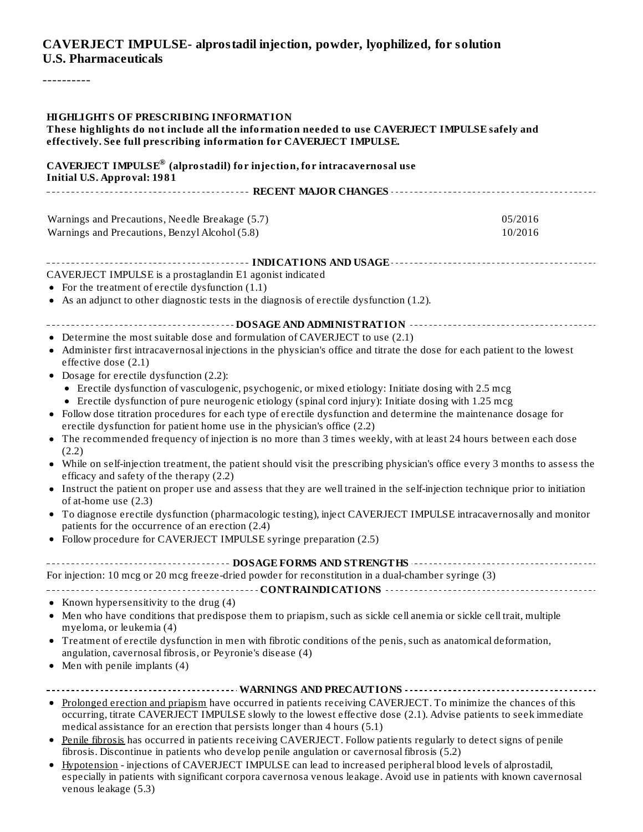#### **CAVERJECT IMPULSE- alprostadil injection, powder, lyophilized, for solution U.S. Pharmaceuticals**

----------

| <b>HIGHLIGHTS OF PRESCRIBING INFORMATION</b><br>These highlights do not include all the information needed to use CAVERJECT IMPULSE safely and<br>effectively. See full prescribing information for CAVERJECT IMPULSE.                                                                                                                                                                                                                                                                                                                                                                                                                   |                    |
|------------------------------------------------------------------------------------------------------------------------------------------------------------------------------------------------------------------------------------------------------------------------------------------------------------------------------------------------------------------------------------------------------------------------------------------------------------------------------------------------------------------------------------------------------------------------------------------------------------------------------------------|--------------------|
| CAVERJECT IMPULSE® (alprostadil) for injection, for intracavernosal use<br><b>Initial U.S. Approval: 1981</b>                                                                                                                                                                                                                                                                                                                                                                                                                                                                                                                            |                    |
|                                                                                                                                                                                                                                                                                                                                                                                                                                                                                                                                                                                                                                          |                    |
| Warnings and Precautions, Needle Breakage (5.7)<br>Warnings and Precautions, Benzyl Alcohol (5.8)                                                                                                                                                                                                                                                                                                                                                                                                                                                                                                                                        | 05/2016<br>10/2016 |
|                                                                                                                                                                                                                                                                                                                                                                                                                                                                                                                                                                                                                                          |                    |
| CAVERJECT IMPULSE is a prostaglandin E1 agonist indicated<br>• For the treatment of erectile dysfunction $(1.1)$<br>• As an adjunct to other diagnostic tests in the diagnosis of erectile dysfunction (1.2).                                                                                                                                                                                                                                                                                                                                                                                                                            |                    |
|                                                                                                                                                                                                                                                                                                                                                                                                                                                                                                                                                                                                                                          |                    |
| • Determine the most suitable dose and formulation of CAVERJECT to use (2.1)<br>Administer first intracavernosal injections in the physician's office and titrate the dose for each patient to the lowest<br>effective dose (2.1)<br>• Dosage for erectile dysfunction (2.2):<br>• Erectile dysfunction of vasculogenic, psychogenic, or mixed etiology: Initiate dosing with 2.5 mcg<br>• Erectile dysfunction of pure neurogenic etiology (spinal cord injury): Initiate dosing with 1.25 mcg                                                                                                                                          |                    |
| • Follow dose titration procedures for each type of erectile dysfunction and determine the maintenance dosage for<br>erectile dysfunction for patient home use in the physician's office (2.2)<br>• The recommended frequency of injection is no more than 3 times weekly, with at least 24 hours between each dose<br>(2.2)<br>• While on self-injection treatment, the patient should visit the prescribing physician's office every 3 months to assess the<br>efficacy and safety of the therapy (2.2)                                                                                                                                |                    |
| Instruct the patient on proper use and assess that they are well trained in the self-injection technique prior to initiation<br>٠<br>of at-home use (2.3)<br>• To diagnose erectile dysfunction (pharmacologic testing), inject CAVERJECT IMPULSE intracavernosally and monitor<br>patients for the occurrence of an erection (2.4)<br>• Follow procedure for CAVERJECT IMPULSE syringe preparation (2.5)                                                                                                                                                                                                                                |                    |
| ------------------------------- DOSAGE FORMS AND STRENGTHS ---------------------------------                                                                                                                                                                                                                                                                                                                                                                                                                                                                                                                                             |                    |
| For injection: 10 mcg or 20 mcg freeze-dried powder for reconstitution in a dual-chamber syringe (3)                                                                                                                                                                                                                                                                                                                                                                                                                                                                                                                                     |                    |
| • Known hypersensitivity to the drug (4)<br>Men who have conditions that predispose them to priapism, such as sickle cell anemia or sickle cell trait, multiple<br>myeloma, or leukemia (4)<br>• Treatment of erectile dysfunction in men with fibrotic conditions of the penis, such as anatomical deformation,<br>angulation, cavernosal fibrosis, or Peyronie's disease (4)<br>$\bullet$ Men with penile implants (4)                                                                                                                                                                                                                 |                    |
| -------------------------------- WARNINGS AND PRECAUTIONS ----------------------------------<br>• Prolonged erection and priapism have occurred in patients receiving CAVERJECT. To minimize the chances of this<br>occurring, titrate CAVERJECT IMPULSE slowly to the lowest effective dose (2.1). Advise patients to seek immediate<br>medical assistance for an erection that persists longer than 4 hours (5.1)<br>Penile fibrosis has occurred in patients receiving CAVERJECT. Follow patients regularly to detect signs of penile<br>fibrosis. Discontinue in patients who develop penile angulation or cavernosal fibrosis (5.2) |                    |

Hypotension - injections of CAVERJECT IMPULSE can lead to increased peripheral blood levels of alprostadil, especially in patients with significant corpora cavernosa venous leakage. Avoid use in patients with known cavernosal venous leakage (5.3)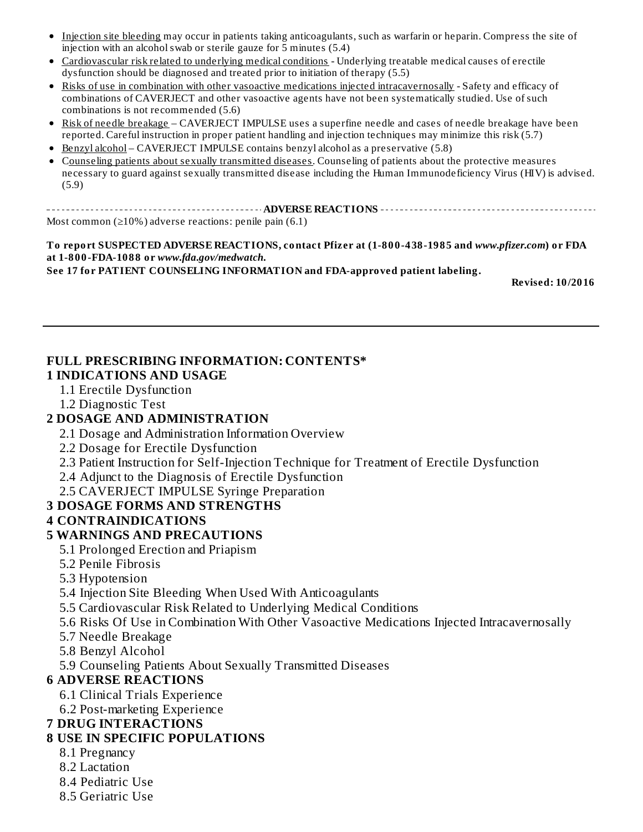- Injection site bleeding may occur in patients taking anticoagulants, such as warfarin or heparin. Compress the site of injection with an alcoholswab or sterile gauze for 5 minutes (5.4)
- Cardiovascular risk related to underlying medical conditions Underlying treatable medical causes of erectile dysfunction should be diagnosed and treated prior to initiation of therapy (5.5)
- Risks of use in combination with other vasoactive medications injected intracavernosally Safety and efficacy of combinations of CAVERJECT and other vasoactive agents have not been systematically studied. Use of such combinations is not recommended (5.6)
- Risk of needle breakage CAVERJECT IMPULSE uses a superfine needle and cases of needle breakage have been reported. Careful instruction in proper patient handling and injection techniques may minimize this risk (5.7)
- Benzyl alcohol CAVERJECT IMPULSE contains benzyl alcohol as a preservative (5.8)
- Counseling patients about sexually transmitted diseases. Counseling of patients about the protective measures necessary to guard against sexually transmitted disease including the Human Immunodeficiency Virus (HIV) is advised. (5.9)

**ADVERSE REACTIONS** Most common ( $\geq 10\%$ ) adverse reactions: penile pain (6.1)

**To report SUSPECTED ADVERSE REACTIONS, contact Pfizer at (1-800-438-1985 and** *www.pfizer.com***) or FDA at 1-800-FDA-1088 or** *www.fda.gov/medwatch***.**

**See 17 for PATIENT COUNSELING INFORMATION and FDA-approved patient labeling.**

**Revised: 10/2016**

#### **FULL PRESCRIBING INFORMATION: CONTENTS\***

#### **1 INDICATIONS AND USAGE**

- 1.1 Erectile Dysfunction
- 1.2 Diagnostic Test

#### **2 DOSAGE AND ADMINISTRATION**

- 2.1 Dosage and Administration Information Overview
- 2.2 Dosage for Erectile Dysfunction
- 2.3 Patient Instruction for Self-Injection Technique for Treatment of Erectile Dysfunction
- 2.4 Adjunct to the Diagnosis of Erectile Dysfunction
- 2.5 CAVERJECT IMPULSE Syringe Preparation

#### **3 DOSAGE FORMS AND STRENGTHS**

#### **4 CONTRAINDICATIONS**

#### **5 WARNINGS AND PRECAUTIONS**

- 5.1 Prolonged Erection and Priapism
- 5.2 Penile Fibrosis
- 5.3 Hypotension
- 5.4 Injection Site Bleeding When Used With Anticoagulants
- 5.5 Cardiovascular Risk Related to Underlying Medical Conditions
- 5.6 Risks Of Use in Combination With Other Vasoactive Medications Injected Intracavernosally
- 5.7 Needle Breakage
- 5.8 Benzyl Alcohol
- 5.9 Counseling Patients About Sexually Transmitted Diseases

#### **6 ADVERSE REACTIONS**

- 6.1 Clinical Trials Experience
- 6.2 Post-marketing Experience

#### **7 DRUG INTERACTIONS**

#### **8 USE IN SPECIFIC POPULATIONS**

- 8.1 Pregnancy
- 8.2 Lactation
- 8.4 Pediatric Use
- 8.5 Geriatric Use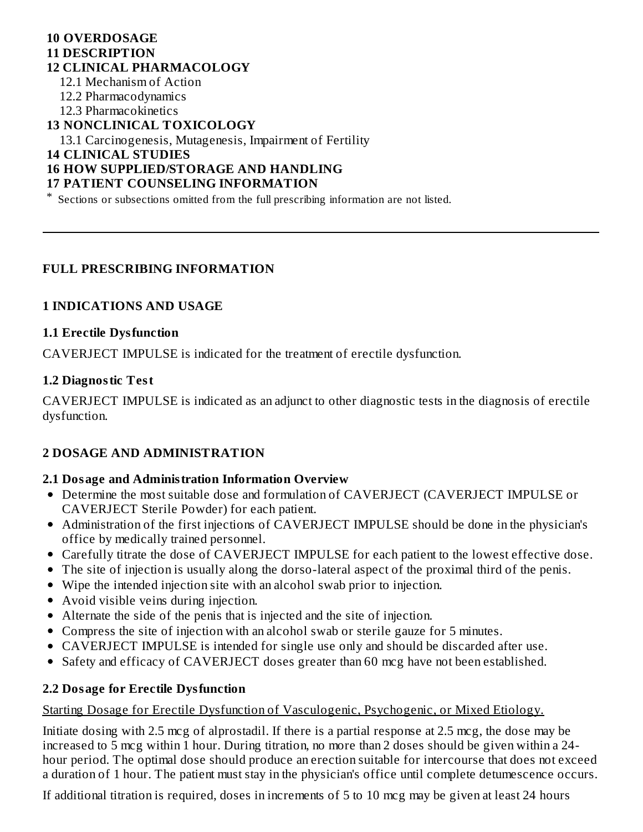#### **10 OVERDOSAGE 11 DESCRIPTION 12 CLINICAL PHARMACOLOGY**

- 12.1 Mechanism of Action
- 12.2 Pharmacodynamics
- 12.3 Pharmacokinetics

#### **13 NONCLINICAL TOXICOLOGY**

13.1 Carcinogenesis, Mutagenesis, Impairment of Fertility

**14 CLINICAL STUDIES**

#### **16 HOW SUPPLIED/STORAGE AND HANDLING**

#### **17 PATIENT COUNSELING INFORMATION**

\* Sections or subsections omitted from the full prescribing information are not listed.

#### **FULL PRESCRIBING INFORMATION**

#### **1 INDICATIONS AND USAGE**

#### **1.1 Erectile Dysfunction**

CAVERJECT IMPULSE is indicated for the treatment of erectile dysfunction.

#### **1.2 Diagnostic Test**

CAVERJECT IMPULSE is indicated as an adjunct to other diagnostic tests in the diagnosis of erectile dysfunction.

#### **2 DOSAGE AND ADMINISTRATION**

#### **2.1 Dosage and Administration Information Overview**

- Determine the most suitable dose and formulation of CAVERJECT (CAVERJECT IMPULSE or CAVERJECT Sterile Powder) for each patient.
- Administration of the first injections of CAVERJECT IMPULSE should be done in the physician's office by medically trained personnel.
- Carefully titrate the dose of CAVERJECT IMPULSE for each patient to the lowest effective dose.
- The site of injection is usually along the dorso-lateral aspect of the proximal third of the penis.
- Wipe the intended injection site with an alcohol swab prior to injection.
- Avoid visible veins during injection.
- Alternate the side of the penis that is injected and the site of injection.
- Compress the site of injection with an alcohol swab or sterile gauze for 5 minutes.
- CAVERJECT IMPULSE is intended for single use only and should be discarded after use.
- Safety and efficacy of CAVERJECT doses greater than 60 mcg have not been established.

#### **2.2 Dosage for Erectile Dysfunction**

#### Starting Dosage for Erectile Dysfunction of Vasculogenic, Psychogenic, or Mixed Etiology.

Initiate dosing with 2.5 mcg of alprostadil. If there is a partial response at 2.5 mcg, the dose may be increased to 5 mcg within 1 hour. During titration, no more than 2 doses should be given within a 24 hour period. The optimal dose should produce an erection suitable for intercourse that does not exceed a duration of 1 hour. The patient must stay in the physician's office until complete detumescence occurs.

If additional titration is required, doses in increments of 5 to 10 mcg may be given at least 24 hours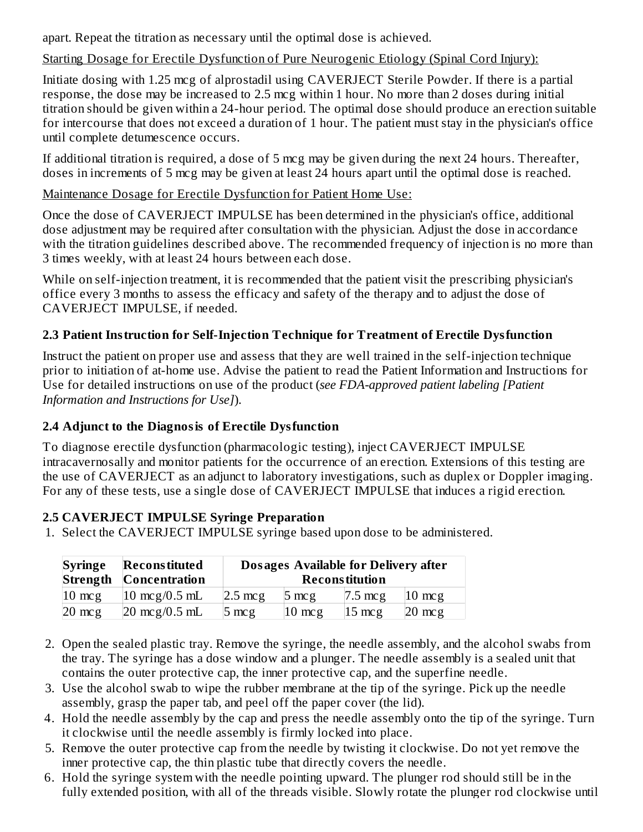apart. Repeat the titration as necessary until the optimal dose is achieved.

# Starting Dosage for Erectile Dysfunction of Pure Neurogenic Etiology (Spinal Cord Injury):

Initiate dosing with 1.25 mcg of alprostadil using CAVERJECT Sterile Powder. If there is a partial response, the dose may be increased to 2.5 mcg within 1 hour. No more than 2 doses during initial titration should be given within a 24-hour period. The optimal dose should produce an erection suitable for intercourse that does not exceed a duration of 1 hour. The patient must stay in the physician's office until complete detumescence occurs.

If additional titration is required, a dose of 5 mcg may be given during the next 24 hours. Thereafter, doses in increments of 5 mcg may be given at least 24 hours apart until the optimal dose is reached.

# Maintenance Dosage for Erectile Dysfunction for Patient Home Use:

Once the dose of CAVERJECT IMPULSE has been determined in the physician's office, additional dose adjustment may be required after consultation with the physician. Adjust the dose in accordance with the titration guidelines described above. The recommended frequency of injection is no more than 3 times weekly, with at least 24 hours between each dose.

While on self-injection treatment, it is recommended that the patient visit the prescribing physician's office every 3 months to assess the efficacy and safety of the therapy and to adjust the dose of CAVERJECT IMPULSE, if needed.

# **2.3 Patient Instruction for Self-Injection Technique for Treatment of Erectile Dysfunction**

Instruct the patient on proper use and assess that they are well trained in the self-injection technique prior to initiation of at-home use. Advise the patient to read the Patient Information and Instructions for Use for detailed instructions on use of the product (*see FDA-approved patient labeling [Patient Information and Instructions for Use]*).

# **2.4 Adjunct to the Diagnosis of Erectile Dysfunction**

To diagnose erectile dysfunction (pharmacologic testing), inject CAVERJECT IMPULSE intracavernosally and monitor patients for the occurrence of an erection. Extensions of this testing are the use of CAVERJECT as an adjunct to laboratory investigations, such as duplex or Doppler imaging. For any of these tests, use a single dose of CAVERJECT IMPULSE that induces a rigid erection.

# **2.5 CAVERJECT IMPULSE Syringe Preparation**

1. Select the CAVERJECT IMPULSE syringe based upon dose to be administered.

| <b>Syringe</b>   | <b>Reconstituted</b><br>Strength Concentration | Dosages Available for Delivery after<br><b>Reconstitution</b> |                    |                   |                   |  |
|------------------|------------------------------------------------|---------------------------------------------------------------|--------------------|-------------------|-------------------|--|
| $10 \text{ mcg}$ | $10 \text{ mcg}/0.5 \text{ mL}$                | $ 2.5 \text{ mcg} $                                           | $5 \text{ mcg}$    | $7.5 \text{ mcg}$ | $10 \text{ mc}$ g |  |
| $20 \text{ mcg}$ | $20 \text{ mcg}/0.5 \text{ mL}$                | $5 \text{ mcg}$                                               | $ 10 \text{ mcg} $ | $15 \text{ mcg}$  | $20 \text{ mcg}$  |  |

- 2. Open the sealed plastic tray. Remove the syringe, the needle assembly, and the alcohol swabs from the tray. The syringe has a dose window and a plunger. The needle assembly is a sealed unit that contains the outer protective cap, the inner protective cap, and the superfine needle.
- 3. Use the alcohol swab to wipe the rubber membrane at the tip of the syringe. Pick up the needle assembly, grasp the paper tab, and peel off the paper cover (the lid).
- 4. Hold the needle assembly by the cap and press the needle assembly onto the tip of the syringe. Turn it clockwise until the needle assembly is firmly locked into place.
- 5. Remove the outer protective cap from the needle by twisting it clockwise. Do not yet remove the inner protective cap, the thin plastic tube that directly covers the needle.
- 6. Hold the syringe system with the needle pointing upward. The plunger rod should still be in the fully extended position, with all of the threads visible. Slowly rotate the plunger rod clockwise until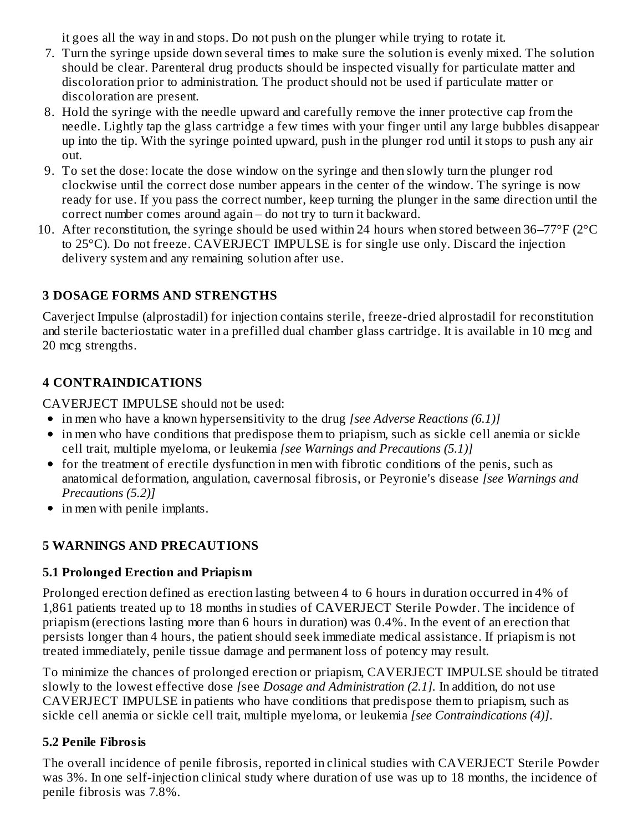it goes all the way in and stops. Do not push on the plunger while trying to rotate it.

- 7. Turn the syringe upside down several times to make sure the solution is evenly mixed. The solution should be clear. Parenteral drug products should be inspected visually for particulate matter and discoloration prior to administration. The product should not be used if particulate matter or discoloration are present.
- 8. Hold the syringe with the needle upward and carefully remove the inner protective cap from the needle. Lightly tap the glass cartridge a few times with your finger until any large bubbles disappear up into the tip. With the syringe pointed upward, push in the plunger rod until it stops to push any air out.
- 9. To set the dose: locate the dose window on the syringe and then slowly turn the plunger rod clockwise until the correct dose number appears in the center of the window. The syringe is now ready for use. If you pass the correct number, keep turning the plunger in the same direction until the correct number comes around again – do not try to turn it backward.
- 10. After reconstitution, the syringe should be used within 24 hours when stored between 36–77°F (2°C to 25°C). Do not freeze. CAVERJECT IMPULSE is for single use only. Discard the injection delivery system and any remaining solution after use.

# **3 DOSAGE FORMS AND STRENGTHS**

Caverject Impulse (alprostadil) for injection contains sterile, freeze-dried alprostadil for reconstitution and sterile bacteriostatic water in a prefilled dual chamber glass cartridge. It is available in 10 mcg and 20 mcg strengths.

# **4 CONTRAINDICATIONS**

CAVERJECT IMPULSE should not be used:

- in men who have a known hypersensitivity to the drug *[see Adverse Reactions (6.1)]*
- in men who have conditions that predispose them to priapism, such as sickle cell anemia or sickle cell trait, multiple myeloma, or leukemia *[see Warnings and Precautions (5.1)]*
- for the treatment of erectile dysfunction in men with fibrotic conditions of the penis, such as anatomical deformation, angulation, cavernosal fibrosis, or Peyronie's disease *[see Warnings and Precautions (5.2)]*
- in men with penile implants.

# **5 WARNINGS AND PRECAUTIONS**

# **5.1 Prolonged Erection and Priapism**

Prolonged erection defined as erection lasting between 4 to 6 hours in duration occurred in 4% of 1,861 patients treated up to 18 months in studies of CAVERJECT Sterile Powder. The incidence of priapism (erections lasting more than 6 hours in duration) was 0.4%. In the event of an erection that persists longer than 4 hours, the patient should seek immediate medical assistance. If priapism is not treated immediately, penile tissue damage and permanent loss of potency may result.

To minimize the chances of prolonged erection or priapism, CAVERJECT IMPULSE should be titrated slowly to the lowest effective dose *[*see *Dosage and Administration (2.1].* In addition, do not use CAVERJECT IMPULSE in patients who have conditions that predispose them to priapism, such as sickle cell anemia or sickle cell trait, multiple myeloma, or leukemia *[see Contraindications (4)]*.

#### **5.2 Penile Fibrosis**

The overall incidence of penile fibrosis, reported in clinical studies with CAVERJECT Sterile Powder was 3%. In one self-injection clinical study where duration of use was up to 18 months, the incidence of penile fibrosis was 7.8%.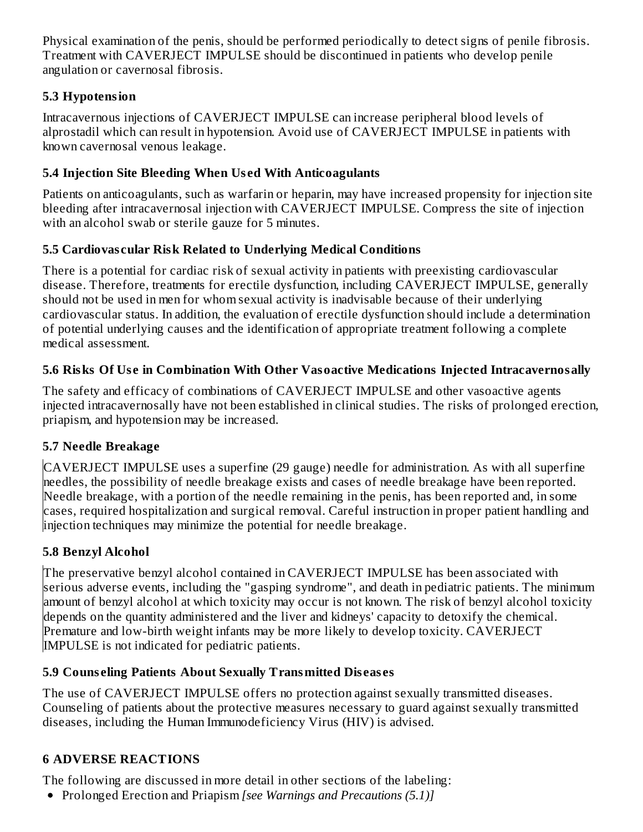Physical examination of the penis, should be performed periodically to detect signs of penile fibrosis. Treatment with CAVERJECT IMPULSE should be discontinued in patients who develop penile angulation or cavernosal fibrosis.

# **5.3 Hypotension**

Intracavernous injections of CAVERJECT IMPULSE can increase peripheral blood levels of alprostadil which can result in hypotension. Avoid use of CAVERJECT IMPULSE in patients with known cavernosal venous leakage.

# **5.4 Injection Site Bleeding When Us ed With Anticoagulants**

Patients on anticoagulants, such as warfarin or heparin, may have increased propensity for injection site bleeding after intracavernosal injection with CAVERJECT IMPULSE. Compress the site of injection with an alcohol swab or sterile gauze for 5 minutes.

# **5.5 Cardiovas cular Risk Related to Underlying Medical Conditions**

There is a potential for cardiac risk of sexual activity in patients with preexisting cardiovascular disease. Therefore, treatments for erectile dysfunction, including CAVERJECT IMPULSE, generally should not be used in men for whom sexual activity is inadvisable because of their underlying cardiovascular status. In addition, the evaluation of erectile dysfunction should include a determination of potential underlying causes and the identification of appropriate treatment following a complete medical assessment.

# **5.6 Risks Of Us e in Combination With Other Vasoactive Medications Injected Intracavernosally**

The safety and efficacy of combinations of CAVERJECT IMPULSE and other vasoactive agents injected intracavernosally have not been established in clinical studies. The risks of prolonged erection, priapism, and hypotension may be increased.

# **5.7 Needle Breakage**

CAVERJECT IMPULSE uses a superfine (29 gauge) needle for administration. As with all superfine needles, the possibility of needle breakage exists and cases of needle breakage have been reported. Needle breakage, with a portion of the needle remaining in the penis, has been reported and, in some cases, required hospitalization and surgical removal. Careful instruction in proper patient handling and injection techniques may minimize the potential for needle breakage.

# **5.8 Benzyl Alcohol**

The preservative benzyl alcohol contained in CAVERJECT IMPULSE has been associated with serious adverse events, including the "gasping syndrome", and death in pediatric patients. The minimum amount of benzyl alcohol at which toxicity may occur is not known. The risk of benzyl alcohol toxicity depends on the quantity administered and the liver and kidneys' capacity to detoxify the chemical. Premature and low-birth weight infants may be more likely to develop toxicity. CAVERJECT IMPULSE is not indicated for pediatric patients.

# **5.9 Couns eling Patients About Sexually Transmitted Dis eas es**

The use of CAVERJECT IMPULSE offers no protection against sexually transmitted diseases. Counseling of patients about the protective measures necessary to guard against sexually transmitted diseases, including the Human Immunodeficiency Virus (HIV) is advised.

# **6 ADVERSE REACTIONS**

The following are discussed in more detail in other sections of the labeling:

Prolonged Erection and Priapism *[see Warnings and Precautions (5.1)]*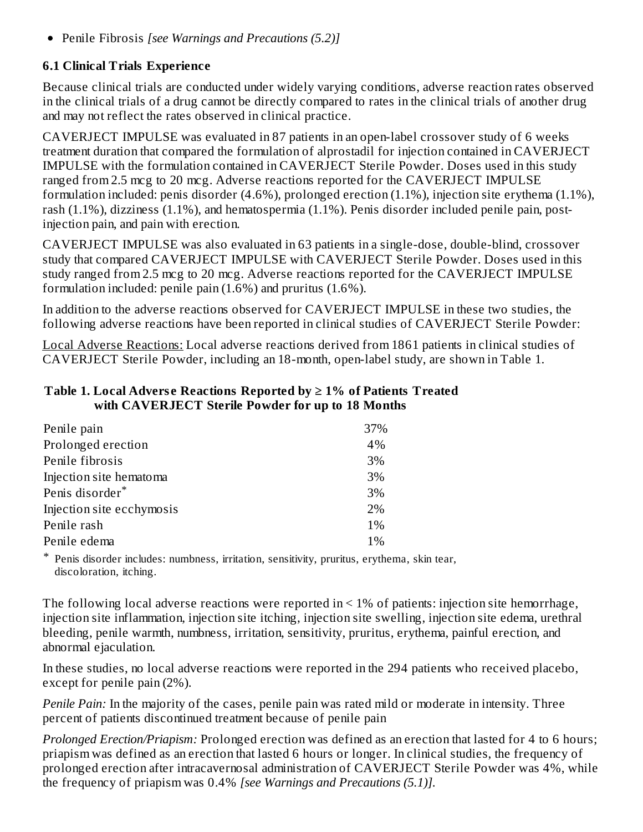Penile Fibrosis *[see Warnings and Precautions (5.2)]*

#### **6.1 Clinical Trials Experience**

Because clinical trials are conducted under widely varying conditions, adverse reaction rates observed in the clinical trials of a drug cannot be directly compared to rates in the clinical trials of another drug and may not reflect the rates observed in clinical practice.

CAVERJECT IMPULSE was evaluated in 87 patients in an open-label crossover study of 6 weeks treatment duration that compared the formulation of alprostadil for injection contained in CAVERJECT IMPULSE with the formulation contained in CAVERJECT Sterile Powder. Doses used in this study ranged from 2.5 mcg to 20 mcg. Adverse reactions reported for the CAVERJECT IMPULSE formulation included: penis disorder (4.6%), prolonged erection (1.1%), injection site erythema (1.1%), rash (1.1%), dizziness (1.1%), and hematospermia (1.1%). Penis disorder included penile pain, postinjection pain, and pain with erection.

CAVERJECT IMPULSE was also evaluated in 63 patients in a single-dose, double-blind, crossover study that compared CAVERJECT IMPULSE with CAVERJECT Sterile Powder. Doses used in this study ranged from 2.5 mcg to 20 mcg. Adverse reactions reported for the CAVERJECT IMPULSE formulation included: penile pain (1.6%) and pruritus (1.6%).

In addition to the adverse reactions observed for CAVERJECT IMPULSE in these two studies, the following adverse reactions have been reported in clinical studies of CAVERJECT Sterile Powder:

Local Adverse Reactions: Local adverse reactions derived from 1861 patients in clinical studies of CAVERJECT Sterile Powder, including an 18-month, open-label study, are shown in Table 1.

| with CAVERJECT Sterile Powder for up to 18 Months |
|---------------------------------------------------|
| 37%                                               |
| 4%                                                |
| 3%                                                |
| 3%                                                |
| 3%                                                |
| 2%                                                |
| $1\%$                                             |
|                                                   |

Penile edema and  $1\%$ 

#### **Table 1. Local Advers e Reactions Reported by ≥ 1% of Patients Treated with CAVERJECT Sterile Powder for up to 18 Months**

\* Penis disorder includes: numbness, irritation, sensitivity, pruritus, erythema, skin tear, discoloration, itching.

The following local adverse reactions were reported in < 1% of patients: injection site hemorrhage, injection site inflammation, injection site itching, injection site swelling, injection site edema, urethral bleeding, penile warmth, numbness, irritation, sensitivity, pruritus, erythema, painful erection, and abnormal ejaculation.

In these studies, no local adverse reactions were reported in the 294 patients who received placebo, except for penile pain (2%).

*Penile Pain:* In the majority of the cases, penile pain was rated mild or moderate in intensity. Three percent of patients discontinued treatment because of penile pain

*Prolonged Erection/Priapism:* Prolonged erection was defined as an erection that lasted for 4 to 6 hours; priapism was defined as an erection that lasted 6 hours or longer. In clinical studies, the frequency of prolonged erection after intracavernosal administration of CAVERJECT Sterile Powder was 4%, while the frequency of priapism was 0.4% *[see Warnings and Precautions (5.1)].*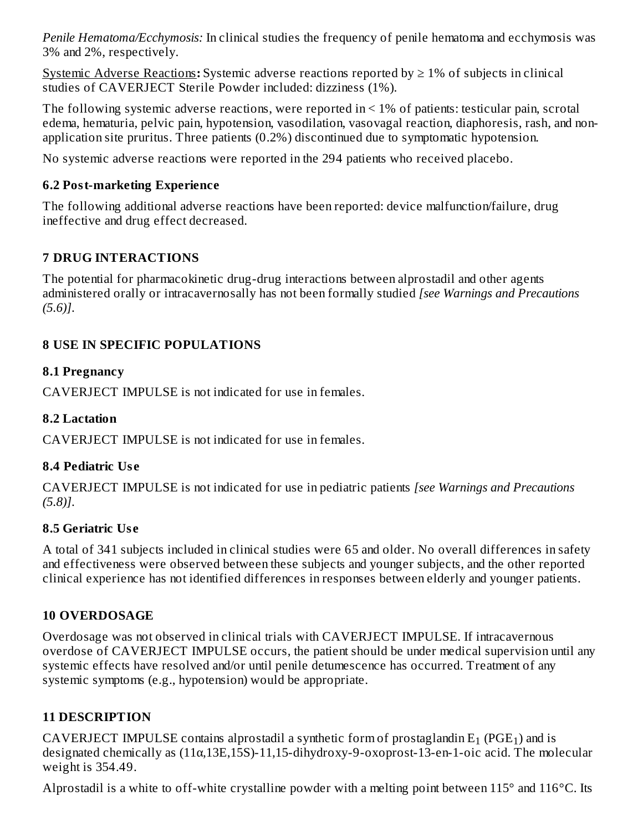*Penile Hematoma/Ecchymosis:* In clinical studies the frequency of penile hematoma and ecchymosis was 3% and 2%, respectively.

Systemic Adverse Reactions**:** Systemic adverse reactions reported by ≥ 1% of subjects in clinical studies of CAVERJECT Sterile Powder included: dizziness (1%).

The following systemic adverse reactions, were reported in < 1% of patients: testicular pain, scrotal edema, hematuria, pelvic pain, hypotension, vasodilation, vasovagal reaction, diaphoresis, rash, and nonapplication site pruritus. Three patients (0.2%) discontinued due to symptomatic hypotension.

No systemic adverse reactions were reported in the 294 patients who received placebo.

# **6.2 Post-marketing Experience**

The following additional adverse reactions have been reported: device malfunction/failure, drug ineffective and drug effect decreased.

# **7 DRUG INTERACTIONS**

The potential for pharmacokinetic drug-drug interactions between alprostadil and other agents administered orally or intracavernosally has not been formally studied *[see Warnings and Precautions (5.6)]*.

# **8 USE IN SPECIFIC POPULATIONS**

# **8.1 Pregnancy**

CAVERJECT IMPULSE is not indicated for use in females.

# **8.2 Lactation**

CAVERJECT IMPULSE is not indicated for use in females.

# **8.4 Pediatric Us e**

CAVERJECT IMPULSE is not indicated for use in pediatric patients *[see Warnings and Precautions (5.8)]*.

# **8.5 Geriatric Us e**

A total of 341 subjects included in clinical studies were 65 and older. No overall differences in safety and effectiveness were observed between these subjects and younger subjects, and the other reported clinical experience has not identified differences in responses between elderly and younger patients.

# **10 OVERDOSAGE**

Overdosage was not observed in clinical trials with CAVERJECT IMPULSE. If intracavernous overdose of CAVERJECT IMPULSE occurs, the patient should be under medical supervision until any systemic effects have resolved and/or until penile detumescence has occurred. Treatment of any systemic symptoms (e.g., hypotension) would be appropriate.

# **11 DESCRIPTION**

CAVERJECT IMPULSE contains alprostadil a synthetic form of prostaglandin  $E_1$  (PGE<sub>1</sub>) and is designated chemically as (11α,13E,15S)-11,15-dihydroxy-9-oxoprost-13-en-1-oic acid. The molecular weight is 354.49.

Alprostadil is a white to off-white crystalline powder with a melting point between  $115^{\circ}$  and  $116^{\circ}$ C. Its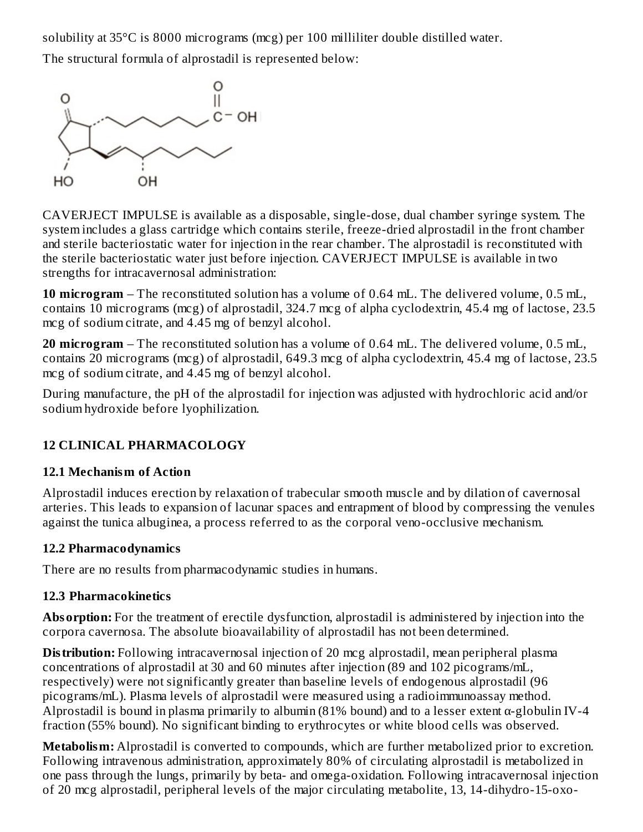solubility at 35°C is 8000 micrograms (mcg) per 100 milliliter double distilled water.

The structural formula of alprostadil is represented below:



CAVERJECT IMPULSE is available as a disposable, single-dose, dual chamber syringe system. The system includes a glass cartridge which contains sterile, freeze-dried alprostadil in the front chamber and sterile bacteriostatic water for injection in the rear chamber. The alprostadil is reconstituted with the sterile bacteriostatic water just before injection. CAVERJECT IMPULSE is available in two strengths for intracavernosal administration:

**10 microgram** – The reconstituted solution has a volume of 0.64 mL. The delivered volume, 0.5 mL, contains 10 micrograms (mcg) of alprostadil, 324.7 mcg of alpha cyclodextrin, 45.4 mg of lactose, 23.5 mcg of sodium citrate, and 4.45 mg of benzyl alcohol.

**20 microgram** – The reconstituted solution has a volume of 0.64 mL. The delivered volume, 0.5 mL, contains 20 micrograms (mcg) of alprostadil, 649.3 mcg of alpha cyclodextrin, 45.4 mg of lactose, 23.5 mcg of sodium citrate, and 4.45 mg of benzyl alcohol.

During manufacture, the pH of the alprostadil for injection was adjusted with hydrochloric acid and/or sodium hydroxide before lyophilization.

# **12 CLINICAL PHARMACOLOGY**

# **12.1 Mechanism of Action**

Alprostadil induces erection by relaxation of trabecular smooth muscle and by dilation of cavernosal arteries. This leads to expansion of lacunar spaces and entrapment of blood by compressing the venules against the tunica albuginea, a process referred to as the corporal veno-occlusive mechanism.

# **12.2 Pharmacodynamics**

There are no results from pharmacodynamic studies in humans.

# **12.3 Pharmacokinetics**

**Absorption:** For the treatment of erectile dysfunction, alprostadil is administered by injection into the corpora cavernosa. The absolute bioavailability of alprostadil has not been determined.

**Distribution:** Following intracavernosal injection of 20 mcg alprostadil, mean peripheral plasma concentrations of alprostadil at 30 and 60 minutes after injection (89 and 102 picograms/mL, respectively) were not significantly greater than baseline levels of endogenous alprostadil (96 picograms/mL). Plasma levels of alprostadil were measured using a radioimmunoassay method. Alprostadil is bound in plasma primarily to albumin (81% bound) and to a lesser extent  $\alpha$ -globulin IV-4 fraction (55% bound). No significant binding to erythrocytes or white blood cells was observed.

**Metabolism:** Alprostadil is converted to compounds, which are further metabolized prior to excretion. Following intravenous administration, approximately 80% of circulating alprostadil is metabolized in one pass through the lungs, primarily by beta- and omega-oxidation. Following intracavernosal injection of 20 mcg alprostadil, peripheral levels of the major circulating metabolite, 13, 14-dihydro-15-oxo-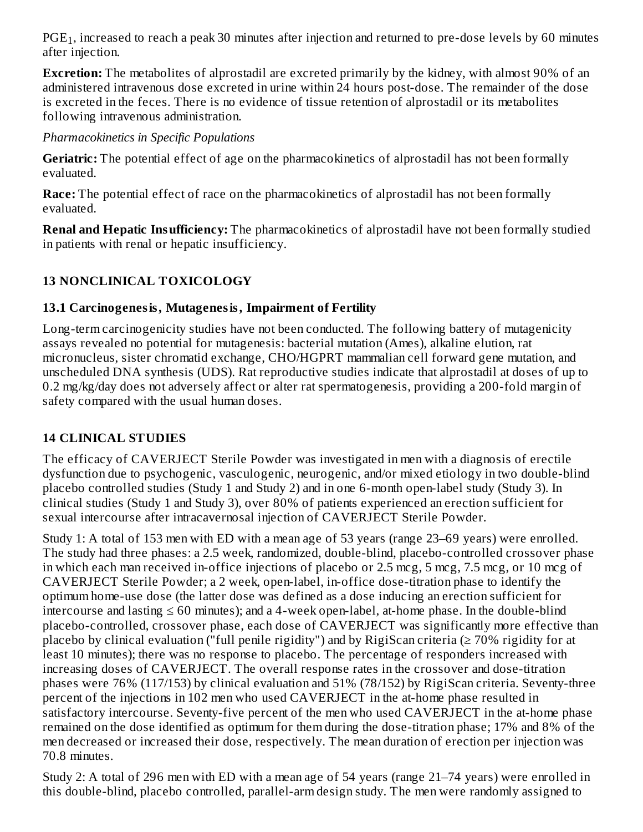$\mathrm{PGE_{1}},$  increased to reach a peak 30 minutes after injection and returned to pre-dose levels by 60 minutes after injection.

**Excretion:** The metabolites of alprostadil are excreted primarily by the kidney, with almost 90% of an administered intravenous dose excreted in urine within 24 hours post-dose. The remainder of the dose is excreted in the feces. There is no evidence of tissue retention of alprostadil or its metabolites following intravenous administration.

*Pharmacokinetics in Specific Populations*

**Geriatric:** The potential effect of age on the pharmacokinetics of alprostadil has not been formally evaluated.

**Race:** The potential effect of race on the pharmacokinetics of alprostadil has not been formally evaluated.

**Renal and Hepatic Insufficiency:** The pharmacokinetics of alprostadil have not been formally studied in patients with renal or hepatic insufficiency.

# **13 NONCLINICAL TOXICOLOGY**

#### **13.1 Carcinogenesis, Mutagenesis, Impairment of Fertility**

Long-term carcinogenicity studies have not been conducted. The following battery of mutagenicity assays revealed no potential for mutagenesis: bacterial mutation (Ames), alkaline elution, rat micronucleus, sister chromatid exchange, CHO/HGPRT mammalian cell forward gene mutation, and unscheduled DNA synthesis (UDS). Rat reproductive studies indicate that alprostadil at doses of up to 0.2 mg/kg/day does not adversely affect or alter rat spermatogenesis, providing a 200-fold margin of safety compared with the usual human doses.

# **14 CLINICAL STUDIES**

The efficacy of CAVERJECT Sterile Powder was investigated in men with a diagnosis of erectile dysfunction due to psychogenic, vasculogenic, neurogenic, and/or mixed etiology in two double-blind placebo controlled studies (Study 1 and Study 2) and in one 6-month open-label study (Study 3). In clinical studies (Study 1 and Study 3), over 80% of patients experienced an erection sufficient for sexual intercourse after intracavernosal injection of CAVERJECT Sterile Powder.

Study 1: A total of 153 men with ED with a mean age of 53 years (range 23–69 years) were enrolled. The study had three phases: a 2.5 week, randomized, double-blind, placebo-controlled crossover phase in which each man received in-office injections of placebo or 2.5 mcg, 5 mcg, 7.5 mcg, or 10 mcg of CAVERJECT Sterile Powder; a 2 week, open-label, in-office dose-titration phase to identify the optimum home-use dose (the latter dose was defined as a dose inducing an erection sufficient for intercourse and lasting ≤ 60 minutes); and a 4-week open-label, at-home phase. In the double-blind placebo-controlled, crossover phase, each dose of CAVERJECT was significantly more effective than placebo by clinical evaluation ("full penile rigidity") and by RigiScan criteria ( $\geq 70\%$  rigidity for at least 10 minutes); there was no response to placebo. The percentage of responders increased with increasing doses of CAVERJECT. The overall response rates in the crossover and dose-titration phases were 76% (117/153) by clinical evaluation and 51% (78/152) by RigiScan criteria. Seventy-three percent of the injections in 102 men who used CAVERJECT in the at-home phase resulted in satisfactory intercourse. Seventy-five percent of the men who used CAVERJECT in the at-home phase remained on the dose identified as optimum for them during the dose-titration phase; 17% and 8% of the men decreased or increased their dose, respectively. The mean duration of erection per injection was 70.8 minutes.

Study 2: A total of 296 men with ED with a mean age of 54 years (range 21–74 years) were enrolled in this double-blind, placebo controlled, parallel-arm design study. The men were randomly assigned to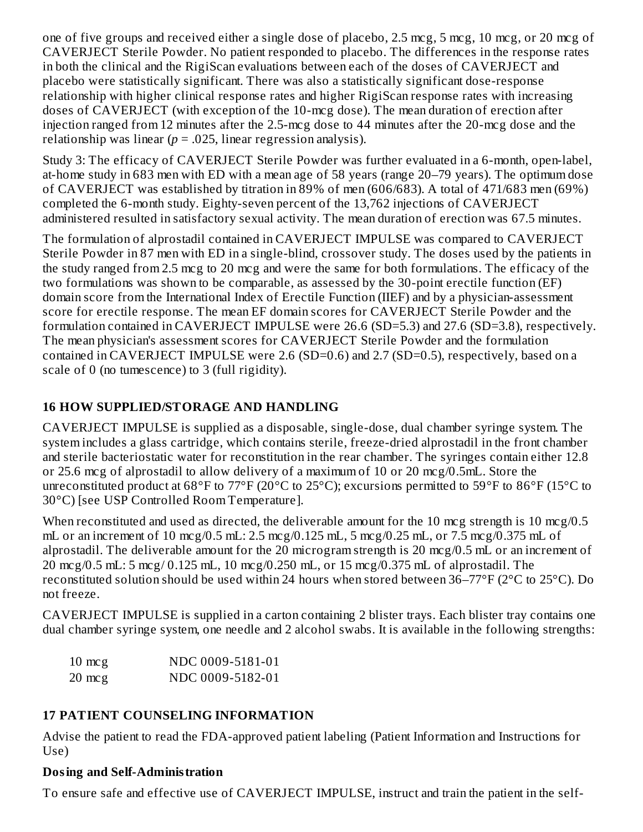one of five groups and received either a single dose of placebo, 2.5 mcg, 5 mcg, 10 mcg, or 20 mcg of CAVERJECT Sterile Powder. No patient responded to placebo. The differences in the response rates in both the clinical and the RigiScan evaluations between each of the doses of CAVERJECT and placebo were statistically significant. There was also a statistically significant dose-response relationship with higher clinical response rates and higher RigiScan response rates with increasing doses of CAVERJECT (with exception of the 10-mcg dose). The mean duration of erection after injection ranged from 12 minutes after the 2.5-mcg dose to 44 minutes after the 20-mcg dose and the relationship was linear  $(p = .025$ , linear regression analysis).

Study 3: The efficacy of CAVERJECT Sterile Powder was further evaluated in a 6-month, open-label, at-home study in 683 men with ED with a mean age of 58 years (range 20–79 years). The optimum dose of CAVERJECT was established by titration in 89% of men (606/683). A total of 471/683 men (69%) completed the 6-month study. Eighty-seven percent of the 13,762 injections of CAVERJECT administered resulted in satisfactory sexual activity. The mean duration of erection was 67.5 minutes.

The formulation of alprostadil contained in CAVERJECT IMPULSE was compared to CAVERJECT Sterile Powder in 87 men with ED in a single-blind, crossover study. The doses used by the patients in the study ranged from 2.5 mcg to 20 mcg and were the same for both formulations. The efficacy of the two formulations was shown to be comparable, as assessed by the 30-point erectile function (EF) domain score from the International Index of Erectile Function (IIEF) and by a physician-assessment score for erectile response. The mean EF domain scores for CAVERJECT Sterile Powder and the formulation contained in CAVERJECT IMPULSE were 26.6 (SD=5.3) and 27.6 (SD=3.8), respectively. The mean physician's assessment scores for CAVERJECT Sterile Powder and the formulation contained in CAVERJECT IMPULSE were 2.6 (SD=0.6) and 2.7 (SD=0.5), respectively, based on a scale of 0 (no tumescence) to 3 (full rigidity).

# **16 HOW SUPPLIED/STORAGE AND HANDLING**

CAVERJECT IMPULSE is supplied as a disposable, single-dose, dual chamber syringe system. The system includes a glass cartridge, which contains sterile, freeze-dried alprostadil in the front chamber and sterile bacteriostatic water for reconstitution in the rear chamber. The syringes contain either 12.8 or 25.6 mcg of alprostadil to allow delivery of a maximum of 10 or 20 mcg/0.5mL. Store the unreconstituted product at 68°F to 77°F (20°C to 25°C); excursions permitted to 59°F to 86°F (15°C to 30°C) [see USP Controlled Room Temperature].

When reconstituted and used as directed, the deliverable amount for the 10 mcg strength is 10 mcg/0.5 mL or an increment of 10 mcg/0.5 mL: 2.5 mcg/0.125 mL, 5 mcg/0.25 mL, or 7.5 mcg/0.375 mL of alprostadil. The deliverable amount for the 20 microgram strength is 20 mcg/0.5 mL or an increment of 20 mcg/0.5 mL: 5 mcg/ 0.125 mL, 10 mcg/0.250 mL, or 15 mcg/0.375 mL of alprostadil. The reconstituted solution should be used within 24 hours when stored between 36–77°F (2°C to 25°C). Do not freeze.

CAVERJECT IMPULSE is supplied in a carton containing 2 blister trays. Each blister tray contains one dual chamber syringe system, one needle and 2 alcohol swabs. It is available in the following strengths:

| $10 \text{ mcg}$ | NDC 0009-5181-01 |
|------------------|------------------|
| $20 \text{ mcg}$ | NDC 0009-5182-01 |

# **17 PATIENT COUNSELING INFORMATION**

Advise the patient to read the FDA-approved patient labeling (Patient Information and Instructions for Use)

# **Dosing and Self-Administration**

To ensure safe and effective use of CAVERJECT IMPULSE, instruct and train the patient in the self-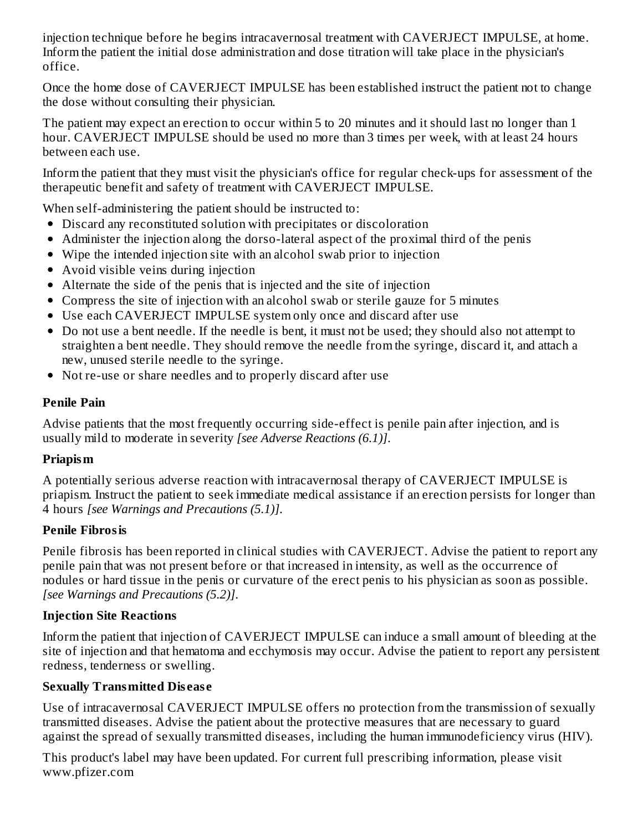injection technique before he begins intracavernosal treatment with CAVERJECT IMPULSE, at home. Inform the patient the initial dose administration and dose titration will take place in the physician's office.

Once the home dose of CAVERJECT IMPULSE has been established instruct the patient not to change the dose without consulting their physician.

The patient may expect an erection to occur within 5 to 20 minutes and it should last no longer than 1 hour. CAVERJECT IMPULSE should be used no more than 3 times per week, with at least 24 hours between each use.

Inform the patient that they must visit the physician's office for regular check-ups for assessment of the therapeutic benefit and safety of treatment with CAVERJECT IMPULSE.

When self-administering the patient should be instructed to:

- Discard any reconstituted solution with precipitates or discoloration
- Administer the injection along the dorso-lateral aspect of the proximal third of the penis
- Wipe the intended injection site with an alcohol swab prior to injection
- Avoid visible veins during injection
- Alternate the side of the penis that is injected and the site of injection
- Compress the site of injection with an alcohol swab or sterile gauze for 5 minutes
- Use each CAVERJECT IMPULSE system only once and discard after use
- Do not use a bent needle. If the needle is bent, it must not be used; they should also not attempt to straighten a bent needle. They should remove the needle from the syringe, discard it, and attach a new, unused sterile needle to the syringe.
- Not re-use or share needles and to properly discard after use

#### **Penile Pain**

Advise patients that the most frequently occurring side-effect is penile pain after injection, and is usually mild to moderate in severity *[see Adverse Reactions (6.1)]*.

# **Priapism**

A potentially serious adverse reaction with intracavernosal therapy of CAVERJECT IMPULSE is priapism. Instruct the patient to seek immediate medical assistance if an erection persists for longer than 4 hours *[see Warnings and Precautions (5.1)]*.

# **Penile Fibrosis**

Penile fibrosis has been reported in clinical studies with CAVERJECT. Advise the patient to report any penile pain that was not present before or that increased in intensity, as well as the occurrence of nodules or hard tissue in the penis or curvature of the erect penis to his physician as soon as possible. *[see Warnings and Precautions (5.2)]*.

#### **Injection Site Reactions**

Inform the patient that injection of CAVERJECT IMPULSE can induce a small amount of bleeding at the site of injection and that hematoma and ecchymosis may occur. Advise the patient to report any persistent redness, tenderness or swelling.

# **Sexually Transmitted Dis eas e**

Use of intracavernosal CAVERJECT IMPULSE offers no protection from the transmission of sexually transmitted diseases. Advise the patient about the protective measures that are necessary to guard against the spread of sexually transmitted diseases, including the human immunodeficiency virus (HIV).

This product's label may have been updated. For current full prescribing information, please visit www.pfizer.com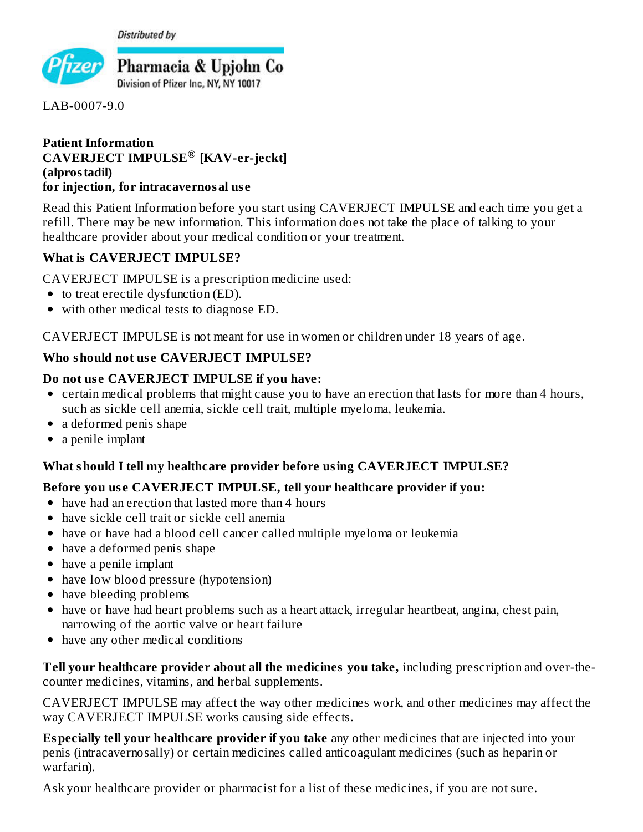**Distributed by** 



LAB-0007-9.0

#### **Patient Information CAVERJECT IMPULSE [KAV-er-jeckt] ®(alprostadil) for injection, for intracavernosal us e**

Read this Patient Information before you start using CAVERJECT IMPULSE and each time you get a refill. There may be new information. This information does not take the place of talking to your healthcare provider about your medical condition or your treatment.

#### **What is CAVERJECT IMPULSE?**

CAVERJECT IMPULSE is a prescription medicine used:

- to treat erectile dysfunction (ED).
- with other medical tests to diagnose ED.

CAVERJECT IMPULSE is not meant for use in women or children under 18 years of age.

#### **Who should not us e CAVERJECT IMPULSE?**

#### **Do not us e CAVERJECT IMPULSE if you have:**

- certain medical problems that might cause you to have an erection that lasts for more than 4 hours, such as sickle cell anemia, sickle cell trait, multiple myeloma, leukemia.
- a deformed penis shape
- a penile implant

#### **What should I tell my healthcare provider before using CAVERJECT IMPULSE?**

#### **Before you us e CAVERJECT IMPULSE, tell your healthcare provider if you:**

- have had an erection that lasted more than 4 hours
- have sickle cell trait or sickle cell anemia
- have or have had a blood cell cancer called multiple myeloma or leukemia
- have a deformed penis shape
- have a penile implant
- have low blood pressure (hypotension)
- have bleeding problems
- have or have had heart problems such as a heart attack, irregular heartbeat, angina, chest pain, narrowing of the aortic valve or heart failure
- have any other medical conditions

**Tell your healthcare provider about all the medicines you take,** including prescription and over-thecounter medicines, vitamins, and herbal supplements.

CAVERJECT IMPULSE may affect the way other medicines work, and other medicines may affect the way CAVERJECT IMPULSE works causing side effects.

**Especially tell your healthcare provider if you take** any other medicines that are injected into your penis (intracavernosally) or certain medicines called anticoagulant medicines (such as heparin or warfarin).

Ask your healthcare provider or pharmacist for a list of these medicines, if you are not sure.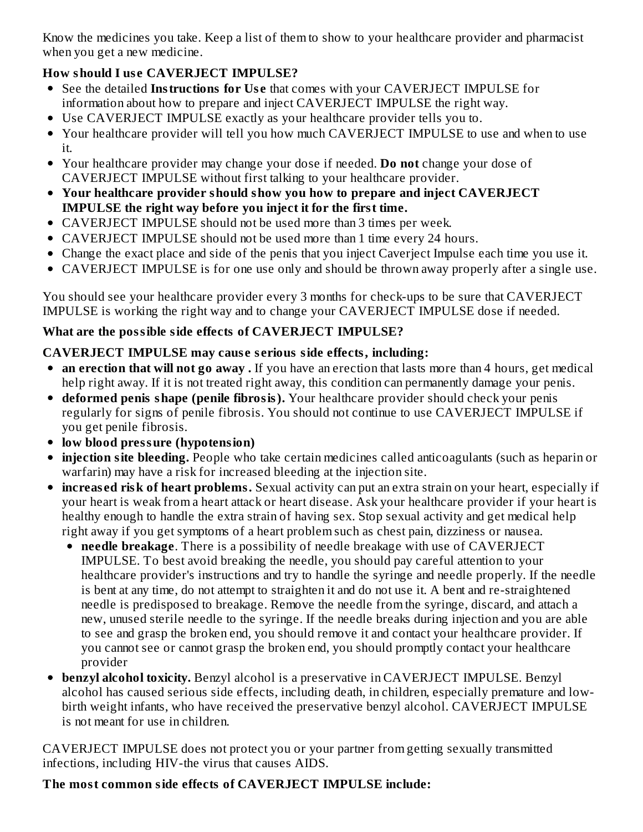Know the medicines you take. Keep a list of them to show to your healthcare provider and pharmacist when you get a new medicine.

# **How should I us e CAVERJECT IMPULSE?**

- See the detailed **Instructions for Us e** that comes with your CAVERJECT IMPULSE for information about how to prepare and inject CAVERJECT IMPULSE the right way.
- Use CAVERJECT IMPULSE exactly as your healthcare provider tells you to.
- Your healthcare provider will tell you how much CAVERJECT IMPULSE to use and when to use it.
- Your healthcare provider may change your dose if needed. **Do not** change your dose of CAVERJECT IMPULSE without first talking to your healthcare provider.
- **Your healthcare provider should show you how to prepare and inject CAVERJECT IMPULSE the right way before you inject it for the first time.**
- CAVERJECT IMPULSE should not be used more than 3 times per week.
- CAVERJECT IMPULSE should not be used more than 1 time every 24 hours.
- Change the exact place and side of the penis that you inject Caverject Impulse each time you use it.
- CAVERJECT IMPULSE is for one use only and should be thrown away properly after a single use.

You should see your healthcare provider every 3 months for check-ups to be sure that CAVERJECT IMPULSE is working the right way and to change your CAVERJECT IMPULSE dose if needed.

# **What are the possible side effects of CAVERJECT IMPULSE?**

# **CAVERJECT IMPULSE may caus e s erious side effects, including:**

- **an erection that will not go away .** If you have an erection that lasts more than 4 hours, get medical help right away. If it is not treated right away, this condition can permanently damage your penis.
- **deformed penis shape (penile fibrosis).** Your healthcare provider should check your penis regularly for signs of penile fibrosis. You should not continue to use CAVERJECT IMPULSE if you get penile fibrosis.
- **low blood pressure (hypotension)**
- **injection site bleeding.** People who take certain medicines called anticoagulants (such as heparin or warfarin) may have a risk for increased bleeding at the injection site.
- **increas ed risk of heart problems.** Sexual activity can put an extra strain on your heart, especially if your heart is weak from a heart attack or heart disease. Ask your healthcare provider if your heart is healthy enough to handle the extra strain of having sex. Stop sexual activity and get medical help right away if you get symptoms of a heart problem such as chest pain, dizziness or nausea.
	- **needle breakage**. There is a possibility of needle breakage with use of CAVERJECT IMPULSE. To best avoid breaking the needle, you should pay careful attention to your healthcare provider's instructions and try to handle the syringe and needle properly. If the needle is bent at any time, do not attempt to straighten it and do not use it. A bent and re-straightened needle is predisposed to breakage. Remove the needle from the syringe, discard, and attach a new, unused sterile needle to the syringe. If the needle breaks during injection and you are able to see and grasp the broken end, you should remove it and contact your healthcare provider. If you cannot see or cannot grasp the broken end, you should promptly contact your healthcare provider
- **benzyl alcohol toxicity.** Benzyl alcohol is a preservative in CAVERJECT IMPULSE. Benzyl  $\bullet$ alcohol has caused serious side effects, including death, in children, especially premature and lowbirth weight infants, who have received the preservative benzyl alcohol. CAVERJECT IMPULSE is not meant for use in children.

CAVERJECT IMPULSE does not protect you or your partner from getting sexually transmitted infections, including HIV-the virus that causes AIDS.

# **The most common side effects of CAVERJECT IMPULSE include:**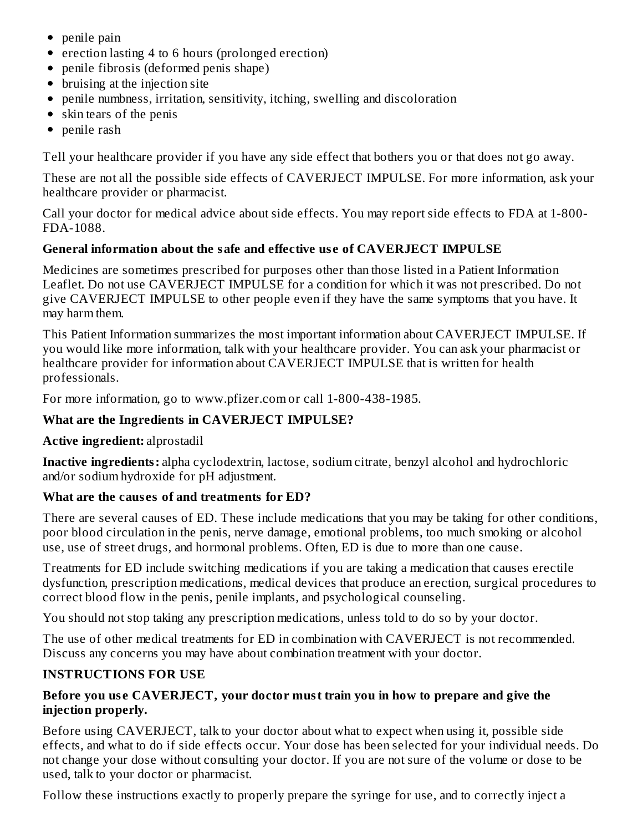- penile pain
- erection lasting 4 to 6 hours (prolonged erection)
- penile fibrosis (deformed penis shape)
- bruising at the injection site
- penile numbness, irritation, sensitivity, itching, swelling and discoloration
- skin tears of the penis
- penile rash

Tell your healthcare provider if you have any side effect that bothers you or that does not go away.

These are not all the possible side effects of CAVERJECT IMPULSE. For more information, ask your healthcare provider or pharmacist.

Call your doctor for medical advice about side effects. You may report side effects to FDA at 1-800- FDA-1088.

# **General information about the safe and effective us e of CAVERJECT IMPULSE**

Medicines are sometimes prescribed for purposes other than those listed in a Patient Information Leaflet. Do not use CAVERJECT IMPULSE for a condition for which it was not prescribed. Do not give CAVERJECT IMPULSE to other people even if they have the same symptoms that you have. It may harm them.

This Patient Information summarizes the most important information about CAVERJECT IMPULSE. If you would like more information, talk with your healthcare provider. You can ask your pharmacist or healthcare provider for information about CAVERJECT IMPULSE that is written for health professionals.

For more information, go to www.pfizer.com or call 1-800-438-1985.

#### **What are the Ingredients in CAVERJECT IMPULSE?**

#### **Active ingredient:** alprostadil

**Inactive ingredients:** alpha cyclodextrin, lactose, sodium citrate, benzyl alcohol and hydrochloric and/or sodium hydroxide for pH adjustment.

#### **What are the caus es of and treatments for ED?**

There are several causes of ED. These include medications that you may be taking for other conditions, poor blood circulation in the penis, nerve damage, emotional problems, too much smoking or alcohol use, use of street drugs, and hormonal problems. Often, ED is due to more than one cause.

Treatments for ED include switching medications if you are taking a medication that causes erectile dysfunction, prescription medications, medical devices that produce an erection, surgical procedures to correct blood flow in the penis, penile implants, and psychological counseling.

You should not stop taking any prescription medications, unless told to do so by your doctor.

The use of other medical treatments for ED in combination with CAVERJECT is not recommended. Discuss any concerns you may have about combination treatment with your doctor.

#### **INSTRUCTIONS FOR USE**

#### **Before you us e CAVERJECT, your doctor must train you in how to prepare and give the injection properly.**

Before using CAVERJECT, talk to your doctor about what to expect when using it, possible side effects, and what to do if side effects occur. Your dose has been selected for your individual needs. Do not change your dose without consulting your doctor. If you are not sure of the volume or dose to be used, talk to your doctor or pharmacist.

Follow these instructions exactly to properly prepare the syringe for use, and to correctly inject a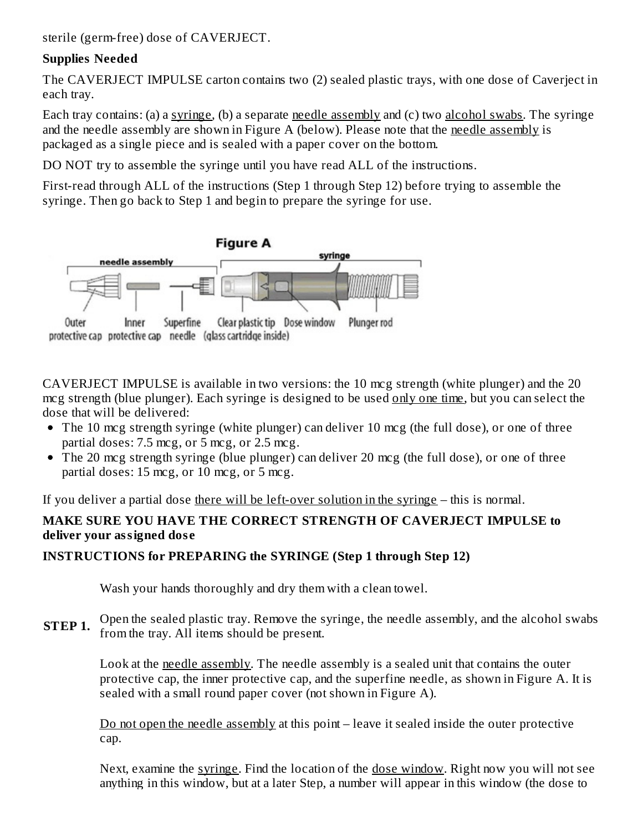sterile (germ-free) dose of CAVERJECT.

#### **Supplies Needed**

The CAVERJECT IMPULSE carton contains two (2) sealed plastic trays, with one dose of Caverject in each tray.

Each tray contains: (a) a syringe, (b) a separate needle assembly and (c) two alcohol swabs. The syringe and the needle assembly are shown in Figure A (below). Please note that the needle assembly is packaged as a single piece and is sealed with a paper cover on the bottom.

DO NOT try to assemble the syringe until you have read ALL of the instructions.

First-read through ALL of the instructions (Step 1 through Step 12) before trying to assemble the syringe. Then go back to Step 1 and begin to prepare the syringe for use.



CAVERJECT IMPULSE is available in two versions: the 10 mcg strength (white plunger) and the 20 mcg strength (blue plunger). Each syringe is designed to be used only one time, but you can select the dose that will be delivered:

- The 10 mcg strength syringe (white plunger) can deliver 10 mcg (the full dose), or one of three partial doses: 7.5 mcg, or 5 mcg, or 2.5 mcg.
- The 20 mcg strength syringe (blue plunger) can deliver 20 mcg (the full dose), or one of three partial doses: 15 mcg, or 10 mcg, or 5 mcg.

If you deliver a partial dose there will be left-over solution in the syringe – this is normal.

# **MAKE SURE YOU HAVE THE CORRECT STRENGTH OF CAVERJECT IMPULSE to deliver your assigned dos e**

# **INSTRUCTIONS for PREPARING the SYRINGE (Step 1 through Step 12)**

Wash your hands thoroughly and dry them with a clean towel.

**STEP 1.** Open the sealed plastic tray. Remove the syringe, the needle assembly, and the alcohol swabs from the tray. All items should be present.

Look at the needle assembly. The needle assembly is a sealed unit that contains the outer protective cap, the inner protective cap, and the superfine needle, as shown in Figure A. It is sealed with a small round paper cover (not shown in Figure A).

Do not open the needle assembly at this point – leave it sealed inside the outer protective cap.

Next, examine the syringe. Find the location of the dose window. Right now you will not see anything in this window, but at a later Step, a number will appear in this window (the dose to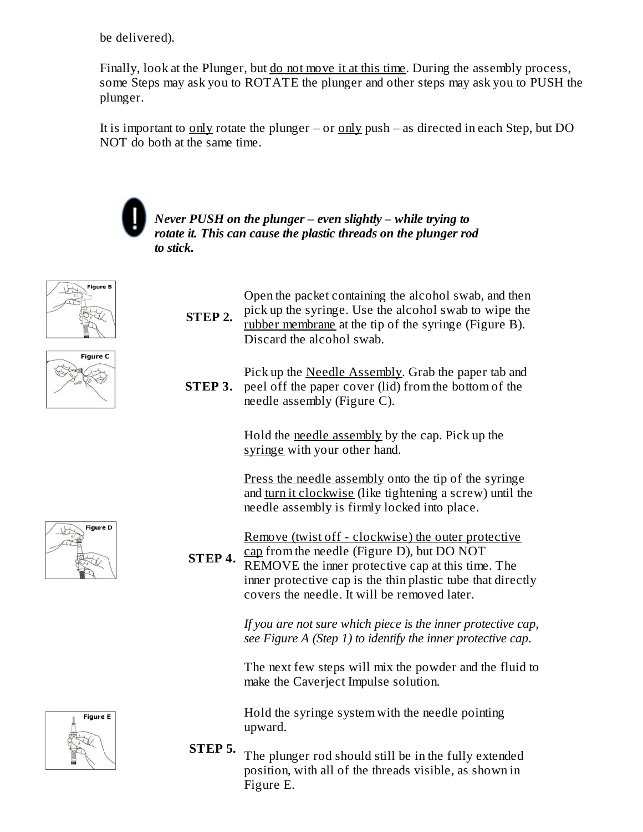be delivered).

Finally, look at the Plunger, but do not move it at this time. During the assembly process, some Steps may ask you to ROTATE the plunger and other steps may ask you to PUSH the plunger.

It is important to only rotate the plunger – or only push – as directed in each Step, but DO NOT do both at the same time.



*Never PUSH on the plunger – even slightly – while trying to rotate it. This can cause the plastic threads on the plunger rod to stick.*







**STEP 3.** peel off the paper cover (lid) from the bottom of the Pick up the Needle Assembly. Grab the paper tab and needle assembly (Figure C).

> Hold the needle assembly by the cap. Pick up the syringe with your other hand.

Press the needle assembly onto the tip of the syringe and turn it clockwise (like tightening a screw) until the needle assembly is firmly locked into place.

Remove (twist off - clockwise) the outer protective cap from the needle (Figure D), but DO NOT

**STEP 4.** REMOVE the inner protective cap at this time. The inner protective cap is the thin plastic tube that directly covers the needle. It will be removed later.

> *If you are not sure which piece is the inner protective cap, see Figure A (Step 1) to identify the inner protective cap.*

> The next few steps will mix the powder and the fluid to make the Caverject Impulse solution.

Hold the syringe system with the needle pointing upward.

**STEP 5.** The plunger rod should still be in the fully extended position, with all of the threads visible, as shown in Figure E.



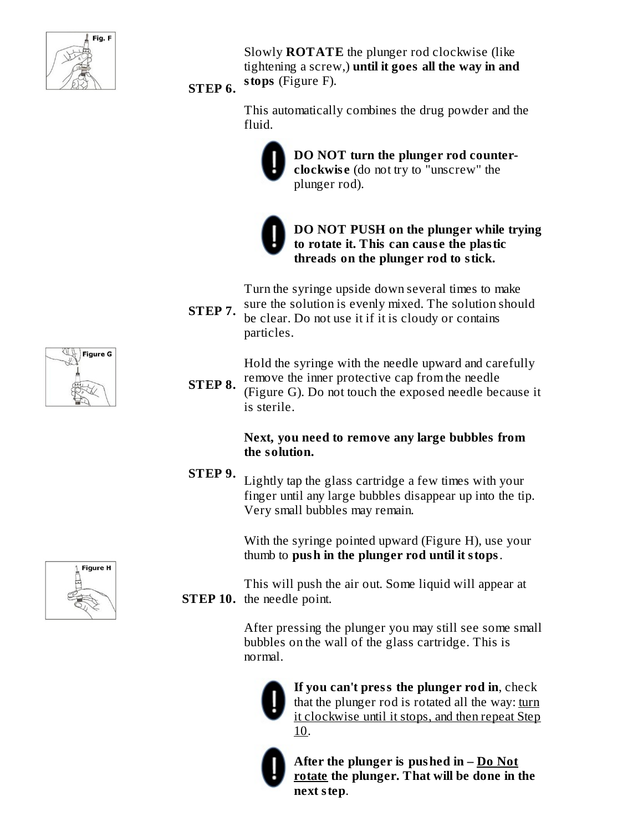

Slowly **ROTATE** the plunger rod clockwise (like tightening a screw,) **until it goes all the way in and stops** (Figure F).

# **STEP 6.**

This automatically combines the drug powder and the fluid.



**DO NOT turn the plunger rod counterclockwis e** (do not try to "unscrew" the plunger rod).

**DO NOT PUSH on the plunger while trying to rotate it. This can caus e the plastic threads on the plunger rod to stick.**

Turn the syringe upside down several times to make sure the solution is evenly mixed. The solution should

**STEP 7.** be clear. Do not use it if it is cloudy or contains particles.

> Hold the syringe with the needle upward and carefully remove the inner protective cap from the needle

**STEP 8.** (Figure G). Do not touch the exposed needle because it is sterile.

#### **Next, you need to remove any large bubbles from the solution.**

**STEP 9.** Lightly tap the glass cartridge a few times with your finger until any large bubbles disappear up into the tip. Very small bubbles may remain.

> With the syringe pointed upward (Figure H), use your thumb to **push in the plunger rod until it stops**.

**STEP 10.** the needle point. This will push the air out. Some liquid will appear at

> After pressing the plunger you may still see some small bubbles on the wall of the glass cartridge. This is normal.



**If you can't press the plunger rod in**, check that the plunger rod is rotated all the way: turn it clockwise until it stops, and then repeat Step 10.

**After the plunger is pushed in – Do Not rotate the plunger. That will be done in the next step**.



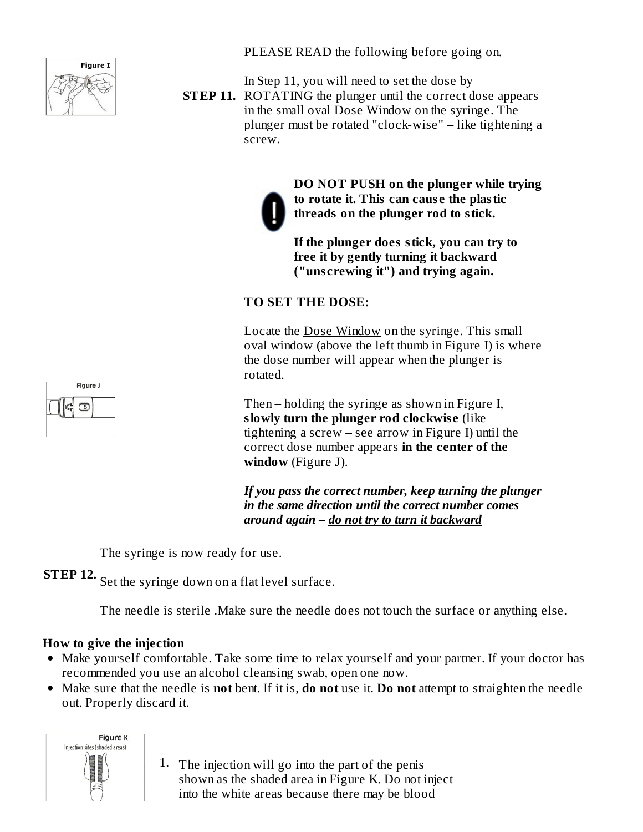

PLEASE READ the following before going on.

In Step 11, you will need to set the dose by

**STEP 11.** ROTATING the plunger until the correct dose appears in the small oval Dose Window on the syringe. The plunger must be rotated "clock-wise" – like tightening a screw.



**DO NOT PUSH on the plunger while trying to rotate it. This can caus e the plastic threads on the plunger rod to stick.**

**If the plunger does stick, you can try to free it by gently turning it backward ("uns crewing it") and trying again.**

#### **TO SET THE DOSE:**

Locate the Dose Window on the syringe. This small oval window (above the left thumb in Figure I) is where the dose number will appear when the plunger is rotated.

Then – holding the syringe as shown in Figure I, **slowly turn the plunger rod clockwis e** (like tightening a screw – see arrow in Figure I) until the correct dose number appears **in the center of the window** (Figure J).

*If you pass the correct number, keep turning the plunger in the same direction until the correct number comes around again – do not try to turn it backward*

The syringe is now ready for use.

**STEP 12.** Set the syringe down on a flat level surface.

The needle is sterile .Make sure the needle does not touch the surface or anything else.

#### **How to give the injection**

- Make yourself comfortable. Take some time to relax yourself and your partner. If your doctor has recommended you use an alcohol cleansing swab, open one now.
- Make sure that the needle is **not** bent. If it is, **do not** use it. **Do not** attempt to straighten the needle out. Properly discard it.



1. The injection will go into the part of the penis shown as the shaded area in Figure K. Do not inject into the white areas because there may be blood

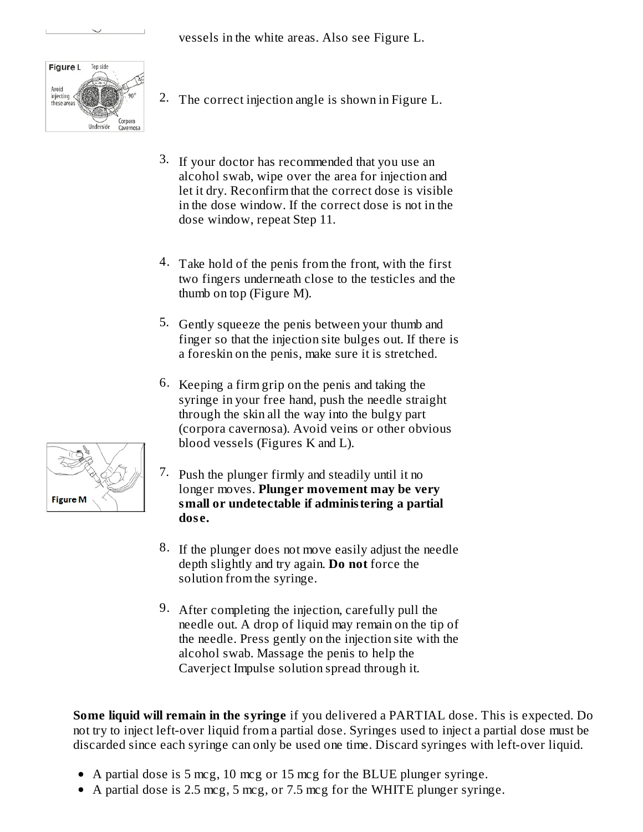vessels in the white areas. Also see Figure L.



- 2. The correct injection angle is shown in Figure L.
- 3. If your doctor has recommended that you use an alcohol swab, wipe over the area for injection and let it dry. Reconfirm that the correct dose is visible in the dose window. If the correct dose is not in the dose window, repeat Step 11.
- 4. Take hold of the penis from the front, with the first two fingers underneath close to the testicles and the thumb on top (Figure M).
- 5. Gently squeeze the penis between your thumb and finger so that the injection site bulges out. If there is a foreskin on the penis, make sure it is stretched.
- 6. Keeping a firm grip on the penis and taking the syringe in your free hand, push the needle straight through the skin all the way into the bulgy part (corpora cavernosa). Avoid veins or other obvious blood vessels (Figures K and L).
- 7. Push the plunger firmly and steadily until it no longer moves. **Plunger movement may be very small or undetectable if administering a partial dos e.**
- 8. If the plunger does not move easily adjust the needle depth slightly and try again. **Do not** force the solution from the syringe.
- 9. After completing the injection, carefully pull the needle out. A drop of liquid may remain on the tip of the needle. Press gently on the injection site with the alcohol swab. Massage the penis to help the Caverject Impulse solution spread through it.

**Some liquid will remain in the syringe** if you delivered a PARTIAL dose. This is expected. Do not try to inject left-over liquid from a partial dose. Syringes used to inject a partial dose must be discarded since each syringe can only be used one time. Discard syringes with left-over liquid.

- A partial dose is 5 mcg, 10 mcg or 15 mcg for the BLUE plunger syringe.
- A partial dose is 2.5 mcg, 5 mcg, or 7.5 mcg for the WHITE plunger syringe.

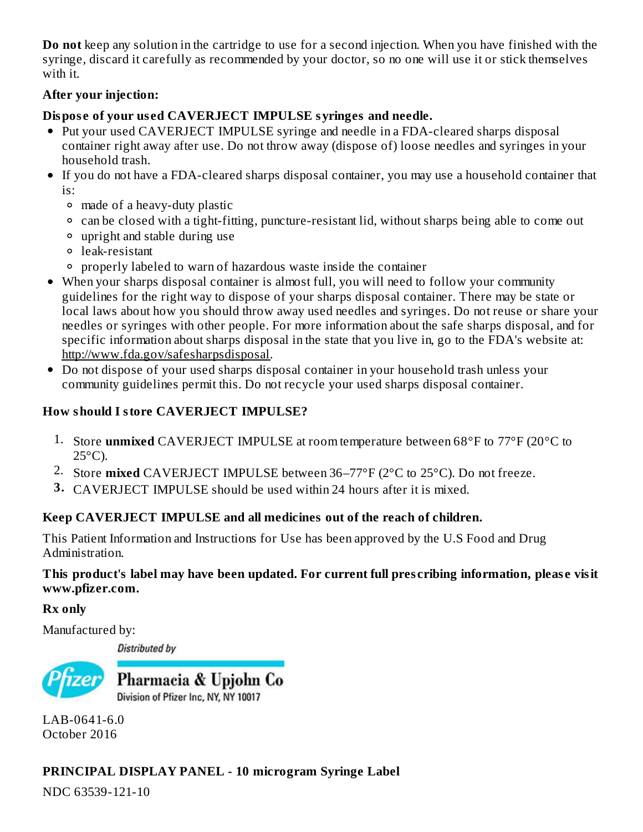**Do not** keep any solution in the cartridge to use for a second injection. When you have finished with the syringe, discard it carefully as recommended by your doctor, so no one will use it or stick themselves with it.

#### **After your injection:**

# **Dispos e of your us ed CAVERJECT IMPULSE syringes and needle.**

- Put your used CAVERJECT IMPULSE syringe and needle in a FDA-cleared sharps disposal container right away after use. Do not throw away (dispose of) loose needles and syringes in your household trash.
- If you do not have a FDA-cleared sharps disposal container, you may use a household container that is:
	- made of a heavy-duty plastic
	- can be closed with a tight-fitting, puncture-resistant lid, without sharps being able to come out
	- upright and stable during use
	- leak-resistant
	- properly labeled to warn of hazardous waste inside the container
- When your sharps disposal container is almost full, you will need to follow your community guidelines for the right way to dispose of your sharps disposal container. There may be state or local laws about how you should throw away used needles and syringes. Do not reuse or share your needles or syringes with other people. For more information about the safe sharps disposal, and for specific information about sharps disposal in the state that you live in, go to the FDA's website at: http://www.fda.gov/safesharpsdisposal.
- Do not dispose of your used sharps disposal container in your household trash unless your community guidelines permit this. Do not recycle your used sharps disposal container.

# **How should I store CAVERJECT IMPULSE?**

- 1. Store **unmixed** CAVERJECT IMPULSE at room temperature between 68°F to 77°F (20°C to  $25^{\circ}$ C).
- 2. Store **mixed** CAVERJECT IMPULSE between 36–77°F (2°C to 25°C). Do not freeze.
- **3.** CAVERJECT IMPULSE should be used within 24 hours after it is mixed.

# **Keep CAVERJECT IMPULSE and all medicines out of the reach of children.**

This Patient Information and Instructions for Use has been approved by the U.S Food and Drug Administration.

# **This product's label may have been updated. For current full pres cribing information, pleas e visit www.pfizer.com.**

# **Rx only**

Manufactured by:

**Distributed by** 



LAB-0641-6.0 October 2016

# **PRINCIPAL DISPLAY PANEL - 10 microgram Syringe Label**

NDC 63539-121-10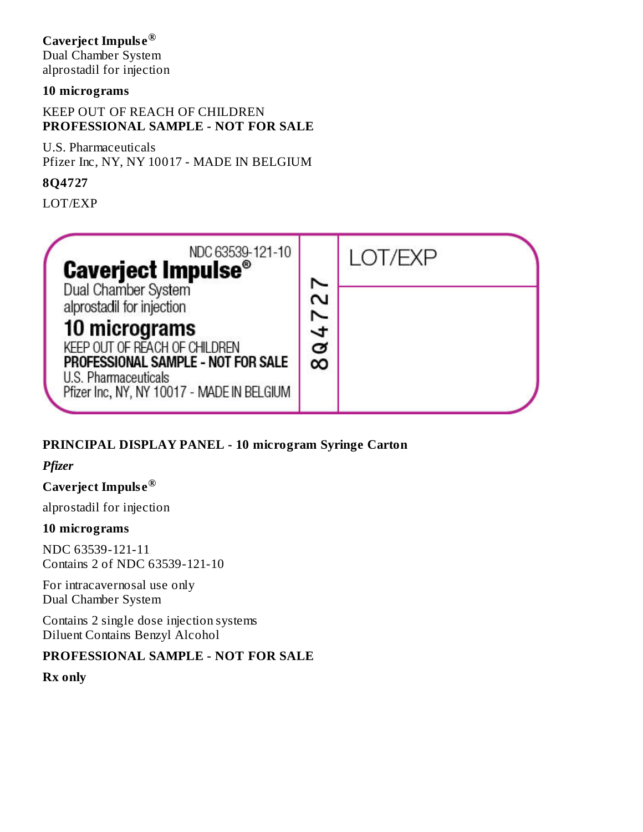#### **Caverject Impuls e ®**

Dual Chamber System alprostadil for injection

#### **10 micrograms**

#### KEEP OUT OF REACH OF CHILDREN **PROFESSIONAL SAMPLE - NOT FOR SALE**

U.S. Pharmaceuticals Pfizer Inc, NY, NY 10017 - MADE IN BELGIUM

#### **8Q4727**

LOT/EXP

| NDC 63539-121-10<br><b>Caverject Impulse<sup>®</sup></b>                                                                                                                                                       |        | LOT/FXP |  |
|----------------------------------------------------------------------------------------------------------------------------------------------------------------------------------------------------------------|--------|---------|--|
| Dual Chamber System<br>alprostadil for injection<br>10 micrograms<br>KEEP OUT OF REACH OF CHILDREN<br>PROFESSIONAL SAMPLE - NOT FOR SALE<br>U.S. Pharmaceuticals<br>Pfizer Inc, NY, NY 10017 - MADE IN BELGIUM | ♂<br>∞ |         |  |

# **PRINCIPAL DISPLAY PANEL - 10 microgram Syringe Carton**

# *Pfizer*

#### **Caverject Impuls e ®**

alprostadil for injection

#### **10 micrograms**

NDC 63539-121-11 Contains 2 of NDC 63539-121-10

For intracavernosal use only Dual Chamber System

Contains 2 single dose injection systems Diluent Contains Benzyl Alcohol

#### **PROFESSIONAL SAMPLE - NOT FOR SALE**

**Rx only**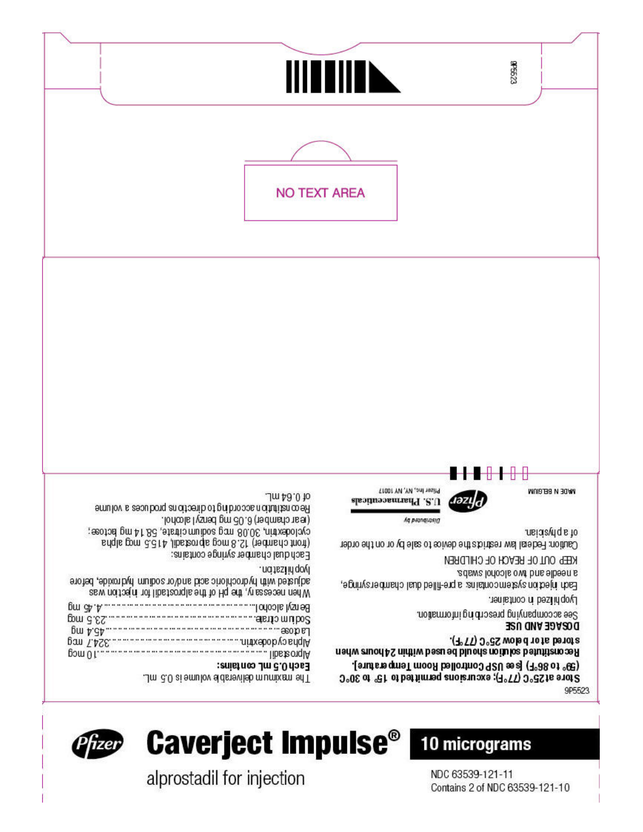NDC 63539-121-11 Contains 2 of NDC 63539-121-10

alprostadil for injection





829933 III IIII N **NO TEXT AREA** \_\_\_\_\_\_\_\_\_\_\_\_\_\_\_ Pfizer Inc., NY, NY 10017 WADE N BEFORM .Jm 48.0 to ләгуд U.S. Pharmaceuticals Reconstitution according to directions and uces a volume .lonools I ysned gm c0.8 (tedmadonset) Aq peanquasid cyclodex trin, 30.08 mg sodium citrate, 58.14 mg bctose; of a physician. sngls gom 3.314 ,libsteorgia gom 8.St (tedmarto trioti) Caution: Federal law restricts the device to sale by or on the order Each dual chamber syringe contains: KEEP OUT OF REACH OF CHILDREN Iyophifzation. a needle and two alcohol swabs. adjusted with hydrochloric acid and/or sodium hydroxide, before Each injection system contains: a pre-filled dual chambersyringe, When necessary, the pH of the alprostadil for history was Lyophifzed in container. See accompanying prescribing information. Sodum diractions are non-communicated and contact the property may be proported to the contact of the contact of the contact of the contact of the contact of the contact of the contact of the contact of the contact of the DOSAGE AND USE stored at or below 25°C (77°F). Reconstituted solution should be used within 24 hours when (9° to 86°F) [see USP Controlled Room Temperature]. Each 0.5 mL contains: Store at 25°C (7°F); excursions permitted to 15° to 30°C Jm 3.0 ai emulov sidsnevilsb mumixem snT. 9P5523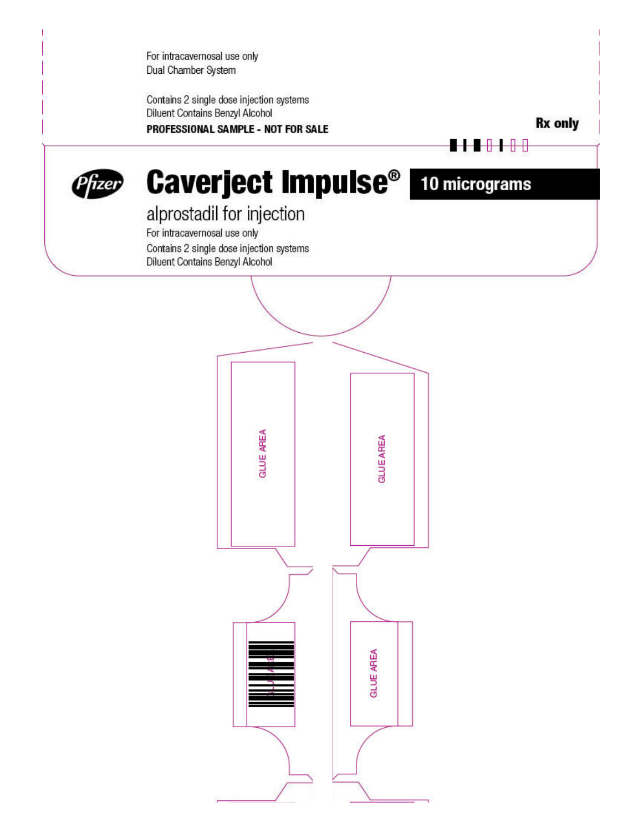For intracavernosal use only Dual Chamber System

Contains 2 single dose injection systems Diluent Contains Benzyl Alcohol PROFESSIONAL SAMPLE - NOT FOR SALE

**Rx only** 





# **Caverject Impulse<sup>®</sup>** 10 micrograms

# alprostadil for injection

For intracavernosal use only Contains 2 single dose injection systems Diluent Contains Benzyl Alcohol

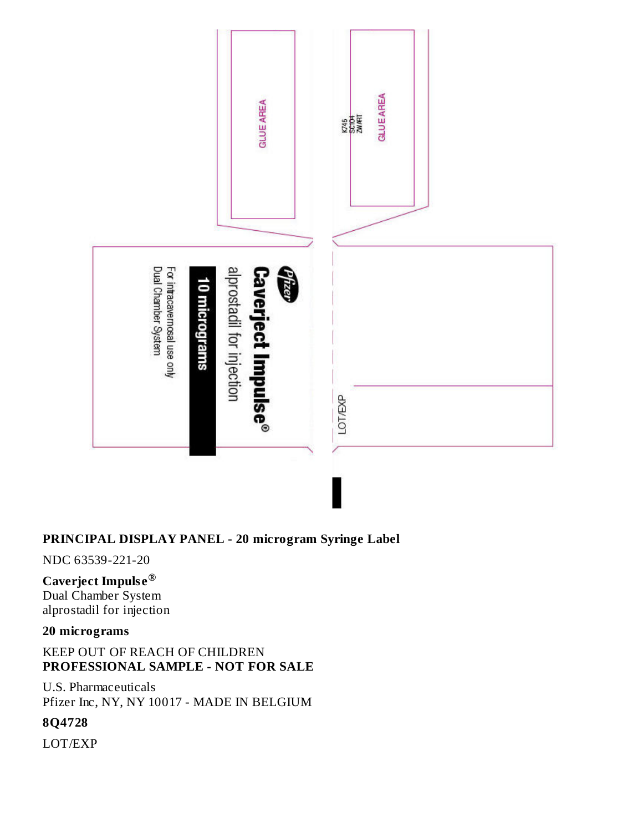

# **PRINCIPAL DISPLAY PANEL - 20 microgram Syringe Label**

NDC 63539-221-20

#### **Caverject Impuls e ®**

Dual Chamber System alprostadil for injection

#### **20 micrograms**

#### KEEP OUT OF REACH OF CHILDREN **PROFESSIONAL SAMPLE - NOT FOR SALE**

U.S. Pharmaceuticals Pfizer Inc, NY, NY 10017 - MADE IN BELGIUM

#### **8Q4728**

LOT/EXP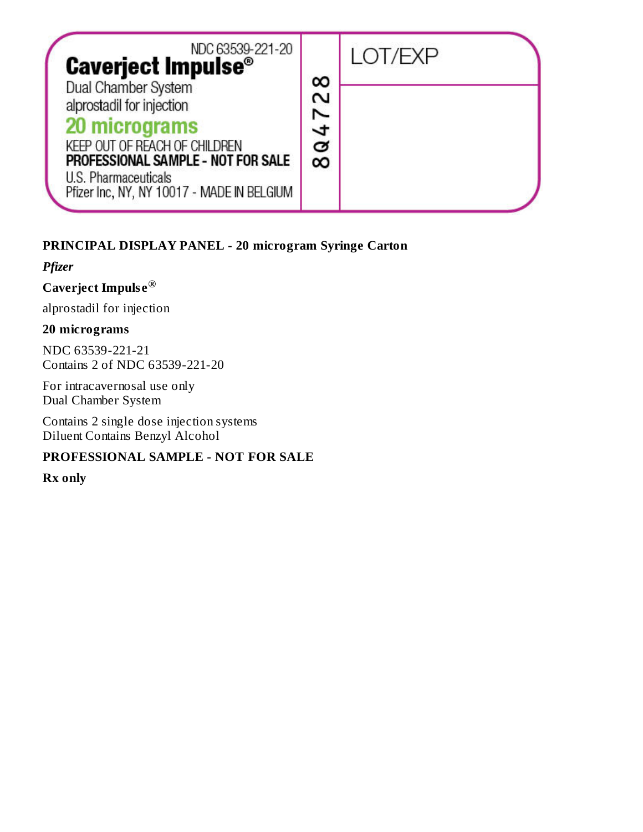| NDC 63539-221-20<br><b>Caverject Impulse<sup>®</sup></b>                                                                                                         |                  | I OT/FXP |  |
|------------------------------------------------------------------------------------------------------------------------------------------------------------------|------------------|----------|--|
| Dual Chamber System<br>alprostadil for injection<br>20 micrograms<br>KEEP OUT OF REACH OF CHILDREN<br>PROFESSIONAL SAMPLE - NOT FOR SALE<br>U.S. Pharmaceuticals | ∞<br>N<br>ತ<br>∞ |          |  |
| Pfizer Inc, NY, NY 10017 - MADE IN BELGIUM                                                                                                                       |                  |          |  |

# **PRINCIPAL DISPLAY PANEL - 20 microgram Syringe Carton**

*Pfizer*

#### **Caverject Impuls e ®**

alprostadil for injection

#### **20 micrograms**

NDC 63539-221-21 Contains 2 of NDC 63539-221-20

For intracavernosal use only Dual Chamber System

Contains 2 single dose injection systems Diluent Contains Benzyl Alcohol

# **PROFESSIONAL SAMPLE - NOT FOR SALE**

**Rx only**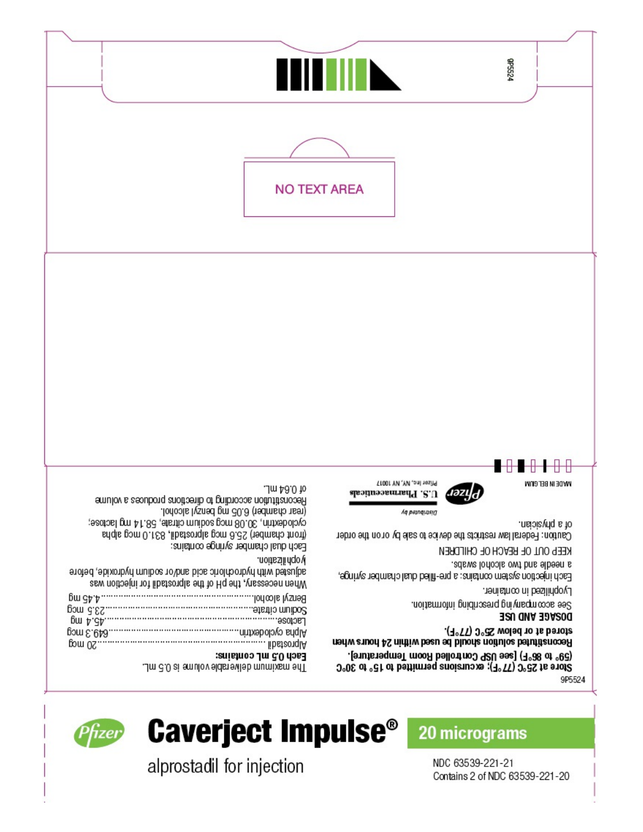

alprostadil for injection

Phzer

**Caverject Impulse<sup>®</sup>** 20 micrograms

NDC 63539-221-21 Contains 2 of NDC 63539-221-20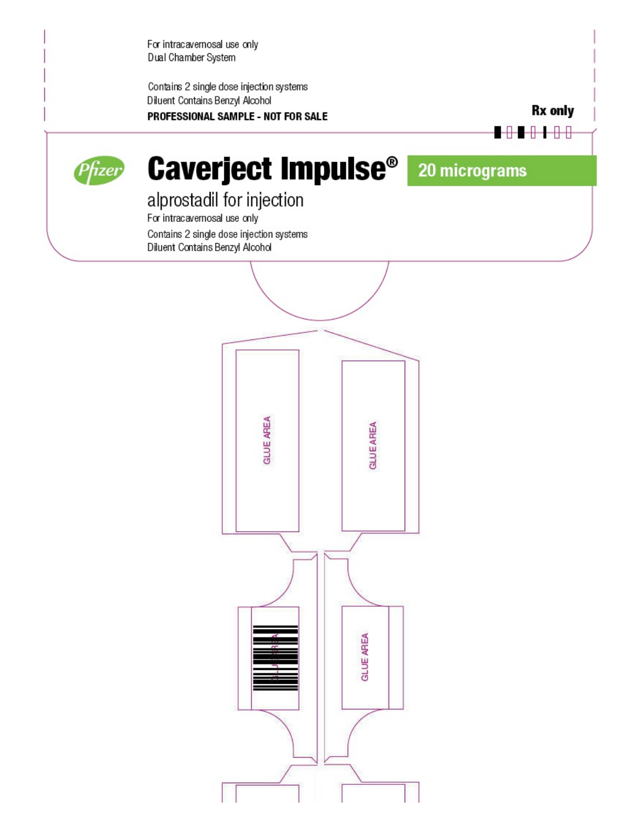For intracavernosal use only Dual Chamber System

Contains 2 single dose injection systems Diluent Contains Benzyl Alcohol PROFESSIONAL SAMPLE - NOT FOR SALE

**Rx** only

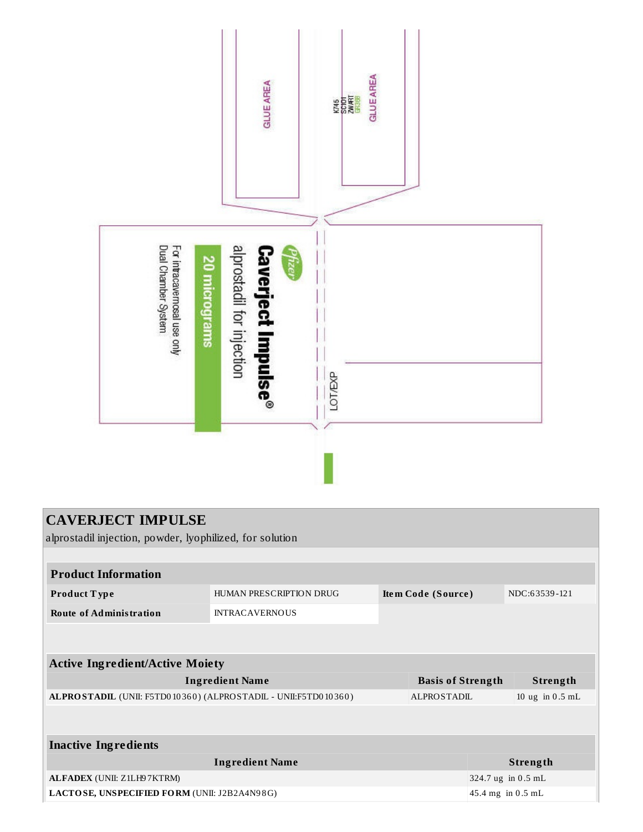

| <b>CAVERJECT IMPULSE</b>                                       |                         |  |                          |                   |                    |  |
|----------------------------------------------------------------|-------------------------|--|--------------------------|-------------------|--------------------|--|
| alprostadil injection, powder, lyophilized, for solution       |                         |  |                          |                   |                    |  |
|                                                                |                         |  |                          |                   |                    |  |
| <b>Product Information</b>                                     |                         |  |                          |                   |                    |  |
| Product Type                                                   | HUMAN PRESCRIPTION DRUG |  | Item Code (Source)       |                   | NDC:63539-121      |  |
| <b>Route of Administration</b>                                 | <b>INTRACAVERNOUS</b>   |  |                          |                   |                    |  |
|                                                                |                         |  |                          |                   |                    |  |
| <b>Active Ingredient/Active Moiety</b>                         |                         |  |                          |                   |                    |  |
|                                                                | <b>Ingredient Name</b>  |  | <b>Basis of Strength</b> |                   | Strength           |  |
| ALPROSTADIL (UNII: F5TD010360) (ALPROSTADIL - UNII:F5TD010360) |                         |  | ALPROSTADIL              |                   | 10 ug in $0.5$ mL  |  |
|                                                                |                         |  |                          |                   |                    |  |
| <b>Inactive Ingredients</b>                                    |                         |  |                          |                   |                    |  |
|                                                                | <b>Ingredient Name</b>  |  |                          |                   | Strength           |  |
| ALFADEX (UNII: Z1LH97KTRM)                                     |                         |  |                          |                   | 324.7 ug in 0.5 mL |  |
| LACTOSE, UNSPECIFIED FORM (UNII: J2B2A4N98G)                   |                         |  |                          | 45.4 mg in 0.5 mL |                    |  |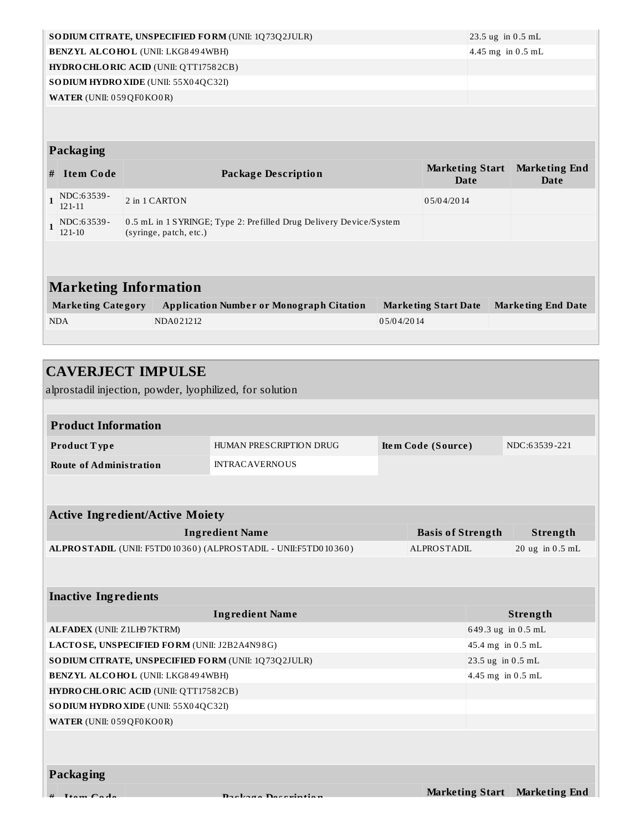|              | SO DIUM CITRATE, UNSPECIFIED FORM (UNII: 1Q73Q2JULR)<br>$23.5$ ug in 0.5 mL                                             |  |                                                                                              |  |                             |  |                           |
|--------------|-------------------------------------------------------------------------------------------------------------------------|--|----------------------------------------------------------------------------------------------|--|-----------------------------|--|---------------------------|
|              | <b>BENZYL ALCOHOL (UNII: LKG8494WBH)</b><br>4.45 mg in $0.5$ mL                                                         |  |                                                                                              |  |                             |  |                           |
|              |                                                                                                                         |  | <b>HYDRO CHLORIC ACID (UNII: QTT17582CB)</b>                                                 |  |                             |  |                           |
|              |                                                                                                                         |  | SO DIUM HYDRO XIDE (UNII: 55X04QC32I)                                                        |  |                             |  |                           |
|              | WATER (UNII: 059 QF0 KO0 R)                                                                                             |  |                                                                                              |  |                             |  |                           |
|              |                                                                                                                         |  |                                                                                              |  |                             |  |                           |
|              |                                                                                                                         |  |                                                                                              |  |                             |  |                           |
|              | Packaging                                                                                                               |  |                                                                                              |  |                             |  |                           |
|              | <b>Marketing Start</b><br><b>Marketing End</b><br><b>Item Code</b><br><b>Package Description</b><br><b>Date</b><br>Date |  |                                                                                              |  |                             |  |                           |
| #            |                                                                                                                         |  |                                                                                              |  |                             |  |                           |
| $\mathbf{1}$ | NDC:63539-<br>$121 - 11$                                                                                                |  | 2 in 1 CARTON                                                                                |  | 05/04/2014                  |  |                           |
| $\mathbf{1}$ | NDC:63539-<br>$121 - 10$                                                                                                |  | 0.5 mL in 1 SYRINGE; Type 2: Prefilled Drug Delivery Device/System<br>(syringe, patch, etc.) |  |                             |  |                           |
|              |                                                                                                                         |  |                                                                                              |  |                             |  |                           |
|              |                                                                                                                         |  |                                                                                              |  |                             |  |                           |
|              | <b>Marketing Information</b>                                                                                            |  |                                                                                              |  |                             |  |                           |
|              | <b>Marketing Category</b>                                                                                               |  | <b>Application Number or Monograph Citation</b>                                              |  | <b>Marketing Start Date</b> |  | <b>Marketing End Date</b> |

| <b>CAVERJECT IMPULSE</b>                                       |                         |  |                          |                    |                               |
|----------------------------------------------------------------|-------------------------|--|--------------------------|--------------------|-------------------------------|
| alprostadil injection, powder, lyophilized, for solution       |                         |  |                          |                    |                               |
|                                                                |                         |  |                          |                    |                               |
| <b>Product Information</b>                                     |                         |  |                          |                    |                               |
| Product Type                                                   | HUMAN PRESCRIPTION DRUG |  | Item Code (Source)       |                    | NDC:63539-221                 |
| <b>Route of Administration</b>                                 | <b>INTRACAVERNOUS</b>   |  |                          |                    |                               |
|                                                                |                         |  |                          |                    |                               |
|                                                                |                         |  |                          |                    |                               |
| <b>Active Ingredient/Active Moiety</b>                         |                         |  |                          |                    |                               |
|                                                                | <b>Ingredient Name</b>  |  | <b>Basis of Strength</b> |                    | Strength                      |
| ALPROSTADIL (UNII: F5TD010360) (ALPROSTADIL - UNII:F5TD010360) |                         |  | <b>ALPROSTADIL</b>       |                    | 20 ug in 0.5 mL               |
|                                                                |                         |  |                          |                    |                               |
|                                                                |                         |  |                          |                    |                               |
| <b>Inactive Ingredients</b>                                    |                         |  |                          |                    |                               |
|                                                                | <b>Ingredient Name</b>  |  |                          |                    | Strength                      |
| ALFADEX (UNII: Z1LH97KTRM)                                     |                         |  |                          | 649.3 ug in 0.5 mL |                               |
| LACTOSE, UNSPECIFIED FORM (UNII: J2B2A4N98G)                   |                         |  |                          | 45.4 mg in 0.5 mL  |                               |
| SO DIUM CITRATE, UNSPECIFIED FORM (UNII: 1Q73Q2JULR)           |                         |  |                          | 23.5 ug in 0.5 mL  |                               |
| <b>BENZYL ALCOHOL (UNII: LKG8494WBH)</b>                       |                         |  |                          | 4.45 mg in 0.5 mL  |                               |
| HYDRO CHLORIC ACID (UNII: QTT17582CB)                          |                         |  |                          |                    |                               |
| SO DIUM HYDRO XIDE (UNII: 55X04QC32I)                          |                         |  |                          |                    |                               |
| WATER (UNII: 059QF0KO0R)                                       |                         |  |                          |                    |                               |
|                                                                |                         |  |                          |                    |                               |
|                                                                |                         |  |                          |                    |                               |
| Packaging                                                      |                         |  |                          |                    |                               |
| $T_{\text{down}}$ $C_{\text{sub}}$                             | Daclings Decenintie     |  |                          |                    | Marketing Start Marketing End |